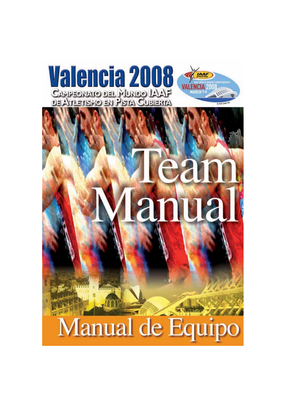

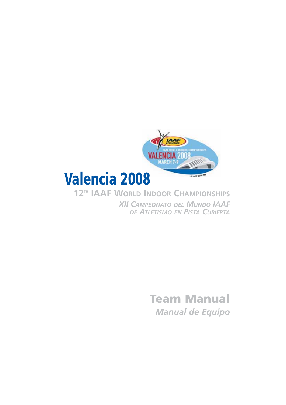

*XII CAMPEONATO DEL MUNDO IAAF DE ATLETISMO EN PISTA CUBIERTA*

> **Team Manual** *Manual de Equipo*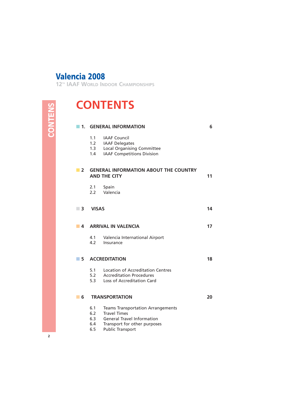**12TH IAAF WORLD INDOOR CHAMPIONSHIPS**

# **CONTENTS**

# $\blacksquare$  **1. GENERAL INFORMATION** 6 1.1 IAAF Council

- 1.2 IAAF Delegates
- 1.3 Local Organising Committee
- 1.4 IAAF Competitions Division

| 2                          | <b>GENERAL INFORMATION ABOUT THE COUNTRY</b><br><b>AND THE CITY</b> |                                                                                                                                                                 |    |
|----------------------------|---------------------------------------------------------------------|-----------------------------------------------------------------------------------------------------------------------------------------------------------------|----|
|                            | 2.1<br>$2.2 -$                                                      | Spain<br>Valencia                                                                                                                                               |    |
| $\overline{\phantom{a}}$ 3 | <b>VISAS</b>                                                        |                                                                                                                                                                 | 14 |
| 4                          |                                                                     | <b>ARRIVAL IN VALENCIA</b>                                                                                                                                      | 17 |
|                            | 4.1<br>4.2                                                          | Valencia International Airport<br>Insurance                                                                                                                     |    |
| 5                          |                                                                     | <b>ACCREDITATION</b>                                                                                                                                            | 18 |
|                            | 5.1<br>5.2<br>5.3                                                   | Location of Accreditation Centres<br><b>Accreditation Procedures</b><br>Loss of Accreditation Card                                                              |    |
| 6                          |                                                                     | <b>TRANSPORTATION</b>                                                                                                                                           | 20 |
|                            | 6.1<br>6.2<br>6.3<br>6.4<br>6.5                                     | <b>Teams Transportation Arrangements</b><br><b>Travel Times</b><br><b>General Travel Information</b><br>Transport for other purposes<br><b>Public Transport</b> |    |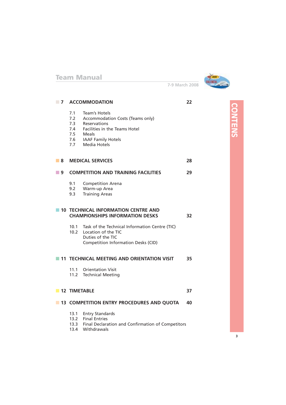

**7-9 March 2008**

| $\blacksquare$ | <b>ACCOMMODATION</b> |                                                                                                                                                                                 | 22 |                |
|----------------|----------------------|---------------------------------------------------------------------------------------------------------------------------------------------------------------------------------|----|----------------|
|                | 7.1<br>7.3<br>7.7    | Team's Hotels<br>7.2 Accommodation Costs (Teams only)<br><b>Reservations</b><br>7.4 Facilities in the Teams Hotel<br>7.5 Meals<br>7.6 IAAF Family Hotels<br><b>Media Hotels</b> |    | <b>CONTENS</b> |
| ■ 8            |                      | <b>MEDICAL SERVICES</b>                                                                                                                                                         | 28 |                |
| ■ 9            |                      | <b>COMPETITION AND TRAINING FACILITIES</b>                                                                                                                                      | 29 |                |
|                | 9.1<br>9.2<br>9.3    | <b>Competition Arena</b><br>Warm-up Area<br><b>Training Areas</b>                                                                                                               |    |                |
|                |                      | <b>10 TECHNICAL INFORMATION CENTRE AND</b><br><b>CHAMPIONSHIPS INFORMATION DESKS</b>                                                                                            | 32 |                |
|                | 10.1                 | Task of the Technical Information Centre (TIC)<br>10.2 Location of the TIC<br>Duties of the TIC<br>Competition Information Desks (CID)                                          |    |                |
|                |                      | 11 TECHNICAL MEETING AND ORIENTATION VISIT                                                                                                                                      | 35 |                |
|                | 11.1                 | <b>Orientation Visit</b><br>11.2 Technical Meeting                                                                                                                              |    |                |
|                |                      | <b>12 TIMETABLE</b>                                                                                                                                                             | 37 |                |
|                |                      | 13 COMPETITION ENTRY PROCEDURES AND QUOTA                                                                                                                                       | 40 |                |
|                |                      | 13.1 Entry Standards<br>13.2 Final Entries<br>13.3 Final Declaration and Confirmation of Competitors<br>13.4 Withdrawals                                                        |    |                |

**3**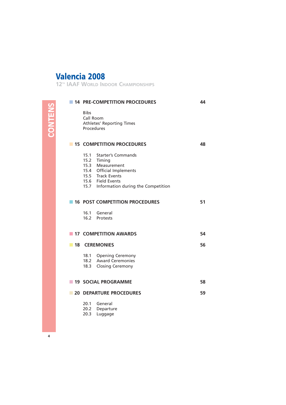**12TH IAAF WORLD INDOOR CHAMPIONSHIPS**

|   | <b>14 PRE-COMPETITION PROCEDURES</b>                                                                                                                                        | 44 |  |
|---|-----------------------------------------------------------------------------------------------------------------------------------------------------------------------------|----|--|
|   | <b>Bibs</b><br>Call Room<br><b>Athletes' Reporting Times</b><br>Procedures                                                                                                  |    |  |
|   | <b>15 COMPETITION PROCEDURES</b>                                                                                                                                            | 48 |  |
|   | 15.1 Starter's Commands<br>15.2 Timing<br>15.3 Measurement<br>15.4 Official Implements<br>15.5 Track Events<br>15.6 Field Events<br>15.7 Information during the Competition |    |  |
|   | <b>16 POST COMPETITION PROCEDURES</b>                                                                                                                                       | 51 |  |
|   | 16.1 General<br>16.2 Protests                                                                                                                                               |    |  |
|   | <b>17 COMPETITION AWARDS</b>                                                                                                                                                | 54 |  |
|   | <b>18 CEREMONIES</b>                                                                                                                                                        | 56 |  |
|   | 18.1 Opening Ceremony<br>18.2 Award Ceremonies<br>18.3 Closing Ceremony                                                                                                     |    |  |
|   | <b>19 SOCIAL PROGRAMME</b>                                                                                                                                                  | 58 |  |
| ш | <b>20 DEPARTURE PROCEDURES</b>                                                                                                                                              | 59 |  |
|   | 20.1 General<br>20.2 Departure<br>20.3<br>Luggage                                                                                                                           |    |  |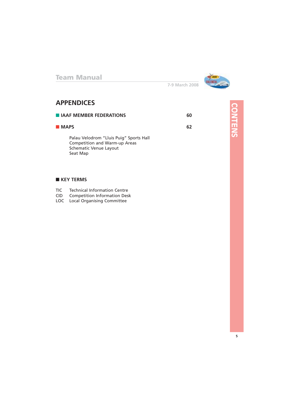

**CONTENS**

**CONTENS** 

**7-9 March 2008**

## **APPENDICES**

| <b>E IAAF MEMBER FEDERATIONS</b>                                                                               |    |
|----------------------------------------------------------------------------------------------------------------|----|
| <b>MAPS</b>                                                                                                    | 62 |
| Palau Velodrom "Lluis Puig" Sports Hall<br>Competition and Warm-up Areas<br>Schematic Venue Layout<br>Seat Map |    |

#### ■ **KEY TERMS**

| <b>TIC</b> |  |  | <b>Technical Information Centre</b> |
|------------|--|--|-------------------------------------|
|            |  |  |                                     |

- CID Competition Information Desk
- LOC Local Organising Committee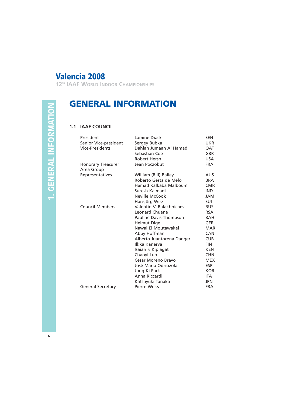**12TH IAAF WORLD INDOOR CHAMPIONSHIPS**

# **1. GENERAL INFORMATION 1. GENERAL INFORMATION**

# **GENERAL INFORMATION**

#### **1.1 IAAF COUNCIL**

| President                | Lamine Diack              | <b>SEN</b> |
|--------------------------|---------------------------|------------|
| Senior Vice-president    | Sergey Bubka              | UKR.       |
| <b>Vice-Presidents</b>   | Dahlan Jumaan Al Hamad    | QAT        |
|                          | Sebastian Coe             | <b>GBR</b> |
|                          | Robert Hersh              | USA.       |
| Honorary Treasurer       | Jean Poczobut             | <b>FRA</b> |
| Area Group               |                           |            |
| Representatives          | William (Bill) Bailey     | AUS.       |
|                          | Roberto Gesta de Melo     | <b>BRA</b> |
|                          | Hamad Kalkaba Malboum     | <b>CMR</b> |
|                          | Suresh Kalmadi            | <b>IND</b> |
|                          | Neville McCook            | JAM        |
|                          | Hansjörg Wirz             | <b>SUI</b> |
| <b>Council Members</b>   | Valentin V. Balakhnichev  | <b>RUS</b> |
|                          | Leonard Chuene            | <b>RSA</b> |
|                          | Pauline Davis-Thompson    | BAH        |
|                          | Helmut Digel              | <b>GER</b> |
|                          | Nawal El Moutawakel       | <b>MAR</b> |
|                          | Abby Hoffman              | <b>CAN</b> |
|                          | Alberto Juantorena Danger | <b>CUB</b> |
|                          | Ilkka Kanerva             | <b>FIN</b> |
|                          | Isaiah F. Kiplagat        | KEN.       |
|                          | Chaoyi Luo                | <b>CHN</b> |
|                          | Cesar Moreno Bravo        | <b>MEX</b> |
|                          | José María Odriozola      | <b>ESP</b> |
|                          | Jung-Ki Park              | <b>KOR</b> |
|                          | Anna Riccardi             | ITA.       |
|                          | Katsuyuki Tanaka          | <b>JPN</b> |
| <b>General Secretary</b> | <b>Pierre Weiss</b>       | <b>FRA</b> |
|                          |                           |            |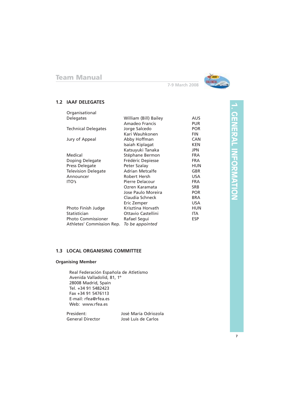

#### **1.2 IAAF DELEGATES**

| Organisational             |                        |            |
|----------------------------|------------------------|------------|
| Delegates                  | William (Bill) Bailey  | <b>AUS</b> |
|                            | Amadeo Francis         | <b>PUR</b> |
| <b>Technical Delegates</b> | Jorge Salcedo          | <b>POR</b> |
|                            | Kari Wauhkonen         | <b>FIN</b> |
| Jury of Appeal             | Abby Hoffman           | <b>CAN</b> |
|                            | Isaiah Kiplagat        | <b>KEN</b> |
|                            | Katsuyuki Tanaka       | <b>JPN</b> |
| Medical                    | Stéphane Bermon        | <b>FRA</b> |
| Doping Delegate            | Frédéric Depiesse      | <b>FRA</b> |
| Press Delegate             | Peter Szalay           | <b>HUN</b> |
| <b>Television Delegate</b> | <b>Adrian Metcalfe</b> | GBR        |
| Announcer                  | Robert Hersh           | <b>USA</b> |
| ITO's                      | Pierre Delacour        | <b>FRA</b> |
|                            | Ozren Karamata         | <b>SRB</b> |
|                            | Jose Paulo Moreira     | <b>POR</b> |
|                            | Claudia Schneck        | <b>BRA</b> |
|                            | Eric Zemper            | <b>USA</b> |
| Photo Finish Judge         | Krisztina Horvath      | HUN        |
| Statistician               | Ottavio Castellini     | ITA.       |
| <b>Photo Commissioner</b>  | Rafael Segui           | <b>ESP</b> |
| Athletes' Commission Rep.  | To be appointed        |            |
|                            |                        |            |

#### **1.3 LOCAL ORGANISING COMMITTEE**

#### **Organising Member**

Real Federación Española de Atletismo Avenida Valladolid, 81, 1º 28008 Madrid, Spain Tel. +34 91 5482423 Fax +34 91 5476113 E-mail: rfea@rfea.es Web: www.rfea.es

President:<br>
General Director<br>
José Luis de Carlos José Luis de Carlos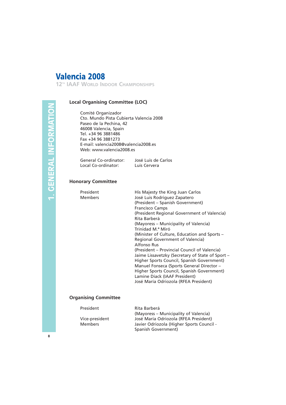**12TH IAAF WORLD INDOOR CHAMPIONSHIPS**

#### **Local Organising Committee (LOC)**

Comité Organizador Cto. Mundo Pista Cubierta Valencia 2008 Paseo de la Pechina, 42 46008 Valencia, Spain Tel. +34 96 3881486 Fax +34 96 3881273 E-mail: valencia2008@valencia2008.es Web: www.valencia2008.es

General Co-ordinator: José Luis de Carlos<br>Local Co-ordinator: Luis Cervera Local Co-ordinator:

#### **Honorary Committee**

| President<br><b>Members</b> | His Majesty the King Juan Carlos<br>José Luis Rodriguez Zapatero |
|-----------------------------|------------------------------------------------------------------|
|                             | (President - Spanish Government)                                 |
|                             | <b>Francisco Camps</b>                                           |
|                             | (President Regional Government of Valencia)<br>Rita Barberá      |
|                             | (Mayoress – Municipality of Valencia)                            |
|                             | Trinidad M.ª Miró                                                |
|                             | (Minister of Culture, Education and Sports –                     |
|                             | Regional Government of Valencia)                                 |
|                             | Alfonso Rus                                                      |
|                             | (President – Provincial Council of Valencia)                     |
|                             | Jaime Lissavetzky (Secretary of State of Sport -                 |
|                             | Higher Sports Council, Spanish Government)                       |
|                             | Manuel Fonseca (Sports General Director -                        |
|                             | Higher Sports Council, Spanish Government)                       |
|                             | Lamine Diack (IAAF President)                                    |
|                             | José María Odriozola (RFEA President)                            |

#### **Organising Committee**

| President      | Rita Barberá                              |
|----------------|-------------------------------------------|
|                | (Mayoress - Municipality of Valencia)     |
| Vice-president | José María Odriozola (RFEA President)     |
| <b>Members</b> | Javier Odriozola (Higher Sports Council - |
|                | Spanish Government)                       |

**8**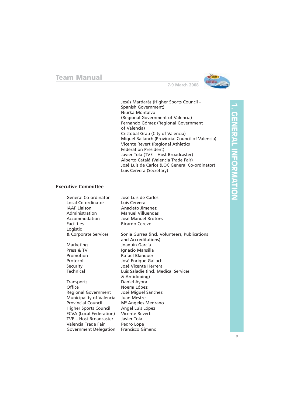

Jesús Mardarás (Higher Sports Council – Spanish Government) Niurka Montalvo (Regional Government of Valencia) Fernando Gómez (Regional Government of Valencia) Cristobal Grau (City of Valencia) Miguel Bailanch (Provincial Council of Valencia) Vicente Revert (Regional Athletics Federation President) Javier Tola (TVE – Host Broadcaster) Alberto Catalá (Valencia Trade Fair) José Luis de Carlos (LOC General Co-ordinator) Luis Cervera (Secretary)

#### **Executive Committee**

| General Co-ordinator       | José Luis de Carlos                          |
|----------------------------|----------------------------------------------|
| Local Co-ordinator         | Luis Cervera                                 |
| <b>IAAF</b> Liaison        | Anacleto Jimenez                             |
| Administration             | <b>Manuel Villuendas</b>                     |
| Accommodation              | José Manuel Brotons                          |
| <b>Facilities</b>          | Ricardo Cerezo                               |
| Logistic                   |                                              |
| & Corporate Services       | Sonia Gurrea (incl. Volunteers, Publications |
|                            | and Accreditations)                          |
| Marketing                  | Joaquín García                               |
| Press & TV                 | Ignacio Mansilla                             |
| Promotion                  | Rafael Blanquer                              |
| Protocol                   | José Enrique Gallach                         |
| Security                   | José Vicente Herrera                         |
| Technical                  | Luis Saladie (incl. Medical Services         |
|                            | & Antidoping)                                |
| <b>Transports</b>          | Daniel Ayora                                 |
| Office                     | Noemí López                                  |
| <b>Regional Government</b> | José Miguel Sánchez                          |
| Municipality of Valencia   | Juan Mestre                                  |
| <b>Provincial Council</b>  | M <sup>ª</sup> Angeles Medrano               |
| Higher Sports Council      | Angel Luis López                             |
| FCVA (Local Federation)    | <b>Vicente Revert</b>                        |
| TVE - Host Broadcaster     | Javier Tola                                  |
| Valencia Trade Fair        | Pedro Lope                                   |
| Government Delegation      | Francisco Gimeno                             |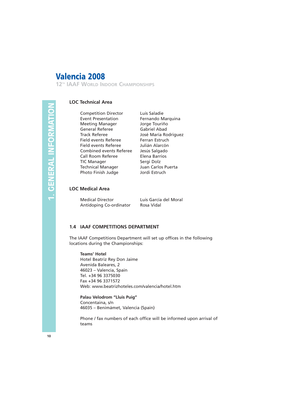**12TH IAAF WORLD INDOOR CHAMPIONSHIPS**

#### **LOC Technical Area**

Competition Director Luis Saladie Event Presentation Fernando Marquina Meeting Manager Jorge Touriño General Referee **Gabriel Abad** Track Referee José María Rodriguez Field events Referee Ferran Estruch Field events Referee Julián Alarcón Combined events Referee Jesús Salgado Call Room Referee **Elena Barrios** TIC Manager Sergi Dolz Technical Manager Juan Carlos Puerta Photo Finish Judge Jordi Estruch

#### **LOC Medical Area**

Medical Director Luis García del Moral Antidoping Co-ordinator Rosa Vidal

#### **1.4 IAAF COMPETITIONS DEPARTMENT**

The IAAF Competitions Department will set up offices in the following locations during the Championships:

#### **Teams' Hotel**

Hotel Beatriz Rey Don Jaime Avenida Baleares, 2 46023 – Valencia, Spain Tel. +34 96 3375030 Fax +34 96 3371572 Web: www.beatrizhoteles.com/valencia/hotel.htm

#### **Palau Velodrom "Lluis Puig"**

Concentaina, s/n 46035 – Benimámet, Valencia (Spain)

Phone / fax numbers of each office will be informed upon arrival of teams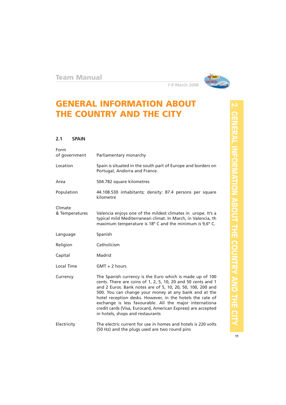

# **GENERAL INFORMATION ABOUT THE COUNTRY AND THE CITY**

#### **2.1 SPAIN**

| Form<br>of government     | Parliamentary monarchy                                                                                                                                                                                                                                                                                                                                                                                                                                                      |
|---------------------------|-----------------------------------------------------------------------------------------------------------------------------------------------------------------------------------------------------------------------------------------------------------------------------------------------------------------------------------------------------------------------------------------------------------------------------------------------------------------------------|
| Location                  | Spain is situated in the south part of Europe and borders on<br>Portugal, Andorra and France.                                                                                                                                                                                                                                                                                                                                                                               |
| Area                      | 504.782 square kilometres                                                                                                                                                                                                                                                                                                                                                                                                                                                   |
| Population                | 44.108.530 inhabitants; density: 87.4 persons per square<br>kilometre                                                                                                                                                                                                                                                                                                                                                                                                       |
| Climate<br>& Temperatures | Valencia enjoys one of the mildest climates in urope. It's a<br>typical mild Mediterranean climat. In March, in Valencia, th<br>maximum temperature is 18° C and the minimum is 9,6° C.                                                                                                                                                                                                                                                                                     |
| Language                  | Spanish                                                                                                                                                                                                                                                                                                                                                                                                                                                                     |
| Religion                  | Catholicism                                                                                                                                                                                                                                                                                                                                                                                                                                                                 |
| Capital                   | Madrid                                                                                                                                                                                                                                                                                                                                                                                                                                                                      |
| Local Time                | $GMT + 2$ hours                                                                                                                                                                                                                                                                                                                                                                                                                                                             |
| Currency                  | The Spanish currency is the Euro which is made up of 100<br>cents. There are coins of 1, 2, 5, 10, 20 and 50 cents and 1<br>and 2 Euros. Bank notes are of 5, 10, 20, 50, 100, 200 and<br>500. You can change your money at any bank and at the<br>hotel reception desks. However, in the hotels the rate of<br>exchange is less favourable. All the major internationa<br>credit cards (Visa, Eurocard, American Express) are accepted<br>in hotels, shops and restaurants |
| Electricity               | The electric current for use in homes and hotels is 220 volts<br>(50 Hz) and the plugs used are two round pins                                                                                                                                                                                                                                                                                                                                                              |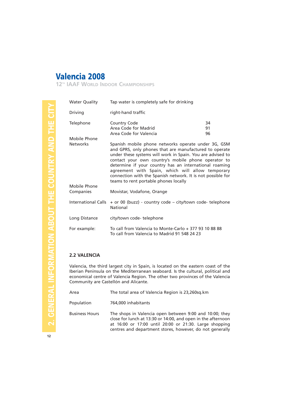**12TH IAAF WORLD INDOOR CHAMPIONSHIPS**

| <b>Water Quality</b>            | Tap water is completely safe for drinking                                                                                                                                                                                                                                                                                                                                                         |                |  |
|---------------------------------|---------------------------------------------------------------------------------------------------------------------------------------------------------------------------------------------------------------------------------------------------------------------------------------------------------------------------------------------------------------------------------------------------|----------------|--|
| Driving                         | right-hand traffic                                                                                                                                                                                                                                                                                                                                                                                |                |  |
| Telephone                       | Country Code<br>Area Code for Madrid<br>Area Code for Valencia                                                                                                                                                                                                                                                                                                                                    | 34<br>91<br>96 |  |
| Mobile Phone<br><b>Networks</b> | Spanish mobile phone networks operate under 3G, GSM                                                                                                                                                                                                                                                                                                                                               |                |  |
|                                 | and GPRS, only phones that are manufactured to operate<br>under these systems will work in Spain. You are advised to<br>contact your own country's mobile phone operator to<br>determine if your country has an international roaming<br>agreement with Spain, which will allow temporary<br>connection with the Spanish network. It is not possible for<br>teams to rent portable phones locally |                |  |
| Mobile Phone<br>Companies       | Movistar, Vodafone, Orange                                                                                                                                                                                                                                                                                                                                                                        |                |  |
| <b>International Calls</b>      | + or 00 (buzz) - country code – city/town code- telephone<br>National                                                                                                                                                                                                                                                                                                                             |                |  |
| Long Distance                   | city/town code-telephone                                                                                                                                                                                                                                                                                                                                                                          |                |  |
| For example:                    | To call from Valencia to Monte-Carlo + 377 93 10 88 88<br>To call from Valencia to Madrid 91 548 24 23                                                                                                                                                                                                                                                                                            |                |  |

#### **2.2 VALENCIA**

Valencia, the third largest city in Spain, is located on the eastern coast of the Iberian Peninsula on the Mediterranean seaboard. Is the cultural, political and economical centre of Valencia Region. The other two provinces of the Valencia Community are Castellón and Alicante.

| Area                  | The total area of Valencia Region is 23,260sg.km                                                                                                                                                                                              |
|-----------------------|-----------------------------------------------------------------------------------------------------------------------------------------------------------------------------------------------------------------------------------------------|
| Population            | 764,000 inhabitants                                                                                                                                                                                                                           |
| <b>Business Hours</b> | The shops in Valencia open between 9:00 and 10:00; they<br>close for lunch at 13:30 or 14:00, and open in the afternoon<br>at 16:00 or 17:00 until 20:00 or 21:30. Large shopping<br>centres and department stores, however, do not generally |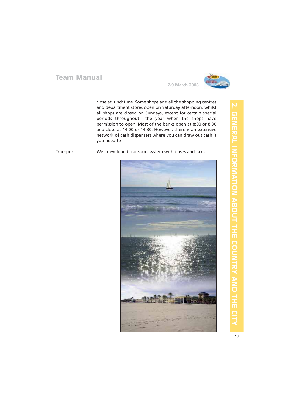

close at lunchtime. Some shops and all the shopping centres and department stores open on Saturday afternoon, whilst all shops are closed on Sundays, except for certain special periods throughout the year when the shops have permission to open. Most of the banks open at 8:00 or 8:30 and close at 14:00 or 14:30. However, there is an extensive network of cash dispensers where you can draw out cash it you need to

**7-9 March 2008**

Transport Well-developed transport system with buses and taxis.

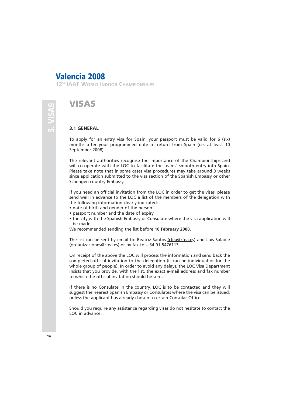**12TH IAAF WORLD INDOOR CHAMPIONSHIPS**

## **VISAS**

#### **3.1 GENERAL**

To apply for an entry visa for Spain, your passport must be valid for 6 (six) months after your programmed date of return from Spain (i.e. at least 10 September 2008).

The relevant authorities recognise the importance of the Championships and will co-operate with the LOC to facilitate the teams' smooth entry into Spain. Please take note that in some cases visa procedures may take around 3 weeks since application submitted to the visa section of the Spanish Embassy or other Schengen country Embassy.

If you need an official invitation from the LOC in order to get the visas, please send well in advance to the LOC a list of the members of the delegation with the following information clearly indicated:

- date of birth and gender of the person
- passport number and the date of expiry
- the city with the Spanish Embassy or Consulate where the visa application will be made

We recommended sending the list before **10 February 200**8.

The list can be sent by email to: Beatriz Santos (rfea@rfea.es) and Luis Saladie (organizaciones@rfea.es) or by fax to:+ 34 91 5476113

On receipt of the above the LOC will process the information and send back the completed official invitation to the delegation (it can be individual or for the whole group of people). In order to avoid any delays, the LOC Visa Department insists that you provide, with the list, the exact e-mail address and fax number to which the official invitation should be sent.

If there is no Consulate in the country, LOC is to be contacted and they will suggest the nearest Spanish Embassy or Consulates where the visa can be issued, unless the applicant has already chosen a certain Consular Office.

Should you require any assistance regarding visas do not hesitate to contact the LOC in advance.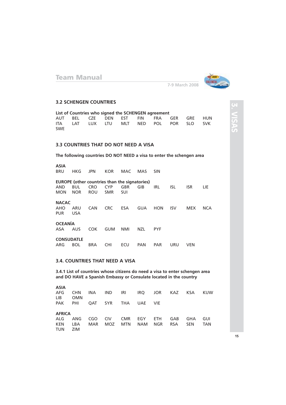

**3.**

**VISAS**

#### **7-9 March 2008**

#### **3.2 SCHENGEN COUNTRIES**

|            |  |  | List of Countries who signed the SCHENGEN agreement |                                         |  |
|------------|--|--|-----------------------------------------------------|-----------------------------------------|--|
|            |  |  |                                                     | AUT BEL CZE DEN EST FIN FRA GER GRE HUN |  |
|            |  |  |                                                     | ITA LAT LUX LTU MLT NED POL POR SLO SVK |  |
| <b>SWE</b> |  |  |                                                     |                                         |  |

#### **3.3 COUNTRIES THAT DO NOT NEED A VISA**

**The following countries DO NOT NEED a visa to enter the schengen area**

**ASIA** HKG JPN KOR MAC MAS SIN

|  | <b>EUROPE</b> (other countries than the signatories) |  |  |                                         |  |
|--|------------------------------------------------------|--|--|-----------------------------------------|--|
|  |                                                      |  |  | AND BUL CRO CYP GBR GIB IRL ISL ISR LIE |  |
|  | MON NOR ROU SMR SUI                                  |  |  |                                         |  |

**NACAC** AHO ARU CAN CRC ESA GUA HON ISV MEX NCA PUR USA

**OCEANÍA** COK GUM NMI NZL PYF

**CONSUDATLE** BOL BRA CHI ECU PAN PAR URU VEN

#### **3.4. COUNTRIES THAT NEED A VISA**

**3.4.1 List of countries whose citizens do need a visa to enter schengen area and DO HAVE a Spanish Embassy or Consulate located in the country**

| <b>ASIA</b><br>AFG<br>LIB.                           | <b>CHN</b><br><b>OMN</b> | PAK PHI OAT SYR |                   | INA IND IRI IRQ JOR<br>THA UAE |                    | <b>VIE</b> | KAZ KSA           |                   | KUW.       |
|------------------------------------------------------|--------------------------|-----------------|-------------------|--------------------------------|--------------------|------------|-------------------|-------------------|------------|
| <b>AFRICA</b><br>ALG ANG<br><b>KEN</b><br><b>TUN</b> | LBA<br><b>ZIM</b>        | CGO<br>MAR      | <b>CIV</b><br>MOZ | CMR<br>MTN                     | EGY ETH<br>NAM NGR |            | GAB<br><b>RSA</b> | GHA<br><b>SEN</b> | GUI<br>TAN |

**15**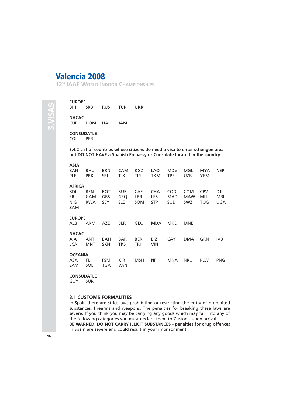**12TH IAAF WORLD INDOOR CHAMPIONSHIPS**

**EUROPE** SRB RUS TUR UKR **NACAC** CUB DOM HAI JAM

**CONSUDATLE** COL PER

**3.4.2 List of countries whose citizens do need a visa to enter schengen area but DO NOT HAVE a Spanish Embassy or Consulate located in the country**

#### **ASIA**

| BAN<br><b>PLE</b>                                | <b>BHU</b><br><b>PRK</b>        | <b>BRN</b><br>SRI                      | <b>CAM</b><br>TJK               | KGZ<br><b>TLS</b>               | LAO<br><b>TKM</b>                | <b>MDV</b><br><b>TPE</b>        | MGL<br><b>UZB</b>                      | MYA<br><b>YEM</b>        | <b>NEP</b>               |
|--------------------------------------------------|---------------------------------|----------------------------------------|---------------------------------|---------------------------------|----------------------------------|---------------------------------|----------------------------------------|--------------------------|--------------------------|
| <b>AFRICA</b><br><b>BDI</b><br>ERI<br>NIG<br>ZAM | <b>BEN</b><br>GAM<br><b>RWA</b> | <b>BOT</b><br><b>GBS</b><br><b>SEY</b> | <b>BUR</b><br>GEQ<br><b>SLE</b> | <b>CAF</b><br>LBR<br><b>SOM</b> | <b>CHA</b><br>LES.<br><b>STP</b> | <b>COD</b><br>MAD<br><b>SUD</b> | <b>COM</b><br><b>MAW</b><br><b>SWZ</b> | <b>CPV</b><br>MLI<br>TOG | DJI<br><b>MRI</b><br>UGA |
| <b>EUROPE</b><br>ALB                             | <b>ARM</b>                      | <b>AZE</b>                             | <b>BLR</b>                      | GEO                             | <b>MDA</b>                       | <b>MKD</b>                      | <b>MNE</b>                             |                          |                          |
| <b>NACAC</b><br>AIA.<br><b>LCA</b>               | ANT<br>MNT                      | BAH<br><b>SKN</b>                      | <b>BAR</b><br><b>TKS</b>        | <b>BER</b><br>TRI               | BIZ<br><b>VIN</b>                | CAY                             | <b>DMA</b>                             | GRN                      | IVB                      |
| <b>OCEANIA</b><br>ASA.<br>SAM                    | FIJ<br>SOL                      | <b>FSM</b><br>TGA                      | <b>KIR</b><br><b>VAN</b>        | <b>MSH</b>                      | NFI                              | <b>MNA</b>                      | <b>NRU</b>                             | <b>PLW</b>               | <b>PNG</b>               |

#### **CONSUDATLE**

GUY SUR

#### **3.1 CUSTOMS FORMALITIES**

In Spain there are strict laws prohibiting or restricting the entry of prohibited substances, firearms and weapons. The penalties for breaking these laws are severe. If you think you may be carrying any goods which may fall into any of the following categories you must declare them to Customs upon arrival. **BE WARNED, DO NOT CARRY ILLICIT SUBSTANCES** - penalties for drug offences in Spain are severe and could result in your imprisonment.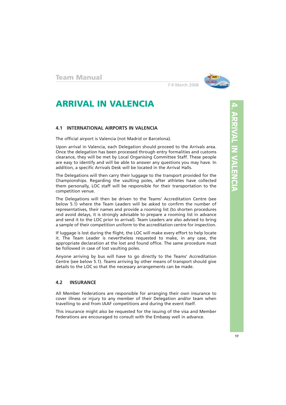

# **ARRIVAL IN VALENCIA**

#### **4.1 INTERNATIONAL AIRPORTS IN VALENCIA**

The official airport is Valencia (not Madrid or Barcelona).

Upon arrival in Valencia, each Delegation should proceed to the Arrivals area. Once the delegation has been processed through entry formalities and customs clearance, they will be met by Local Organising Committee Staff. These people are easy to identify and will be able to answer any questions you may have. In addition, a specific Arrivals Desk will be located in the Arrival Halls.

The Delegations will then carry their luggage to the transport provided for the Championships. Regarding the vaulting poles, after athletes have collected them personally, LOC staff will be responsible for their transportation to the competition venue.

The Delegations will then be driven to the Teams' Accreditation Centre (see below 5.1) where the Team Leaders will be asked to confirm the number of representatives, their names and provide a rooming list (to shorten procedures and avoid delays, it is strongly advisable to prepare a rooming list in advance and send it to the LOC prior to arrival). Team Leaders are also advised to bring a sample of their competition uniform to the accreditation centre for inspection.

If luggage is lost during the flight, the LOC will make every effort to help locate it. The Team Leader is nevertheless requested to make, in any case, the appropriate declaration at the lost and found office. The same procedure must be followed in case of lost vaulting poles.

Anyone arriving by bus will have to go directly to the Teams' Accreditation Centre (see below 5.1). Teams arriving by other means of transport should give details to the LOC so that the necessary arrangements can be made.

#### **4.2 INSURANCE**

All Member Federations are responsible for arranging their own insurance to cover illness or injury to any member of their Delegation and/or team when travelling to and from IAAF competitions and during the event itself.

This insurance might also be requested for the issuing of the visa and Member Federations are encouraged to consult with the Embassy well in advance.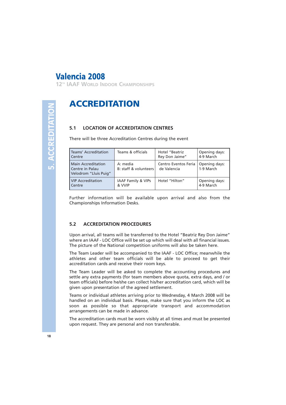**12TH IAAF WORLD INDOOR CHAMPIONSHIPS**

# **5. ACCREDITATION** 5 ACCREDITATIO

# **ACCREDITATION**

#### **5.1 LOCATION OF ACCREDITATION CENTRES**

There will be three Accreditation Centres during the event

| Teams' Accreditation<br>Centre                                        | Teams & officials                       | Hotel "Beatriz<br>Rey Don Jaime"                    | Opening days:<br>4-9 March |
|-----------------------------------------------------------------------|-----------------------------------------|-----------------------------------------------------|----------------------------|
| <b>Main Accreditation</b><br>Centre in Palau<br>Velodrom "Lluis Puig" | A: media<br>B: staff & volunteers       | Centro Eventos Feria   Opening days:<br>de Valencia | 1-9 March                  |
| VIP Accreditation<br>l Centre                                         | <b>IAAF Family &amp; VIPs</b><br>& VVIP | Hotel "Hilton"                                      | Opening days:<br>4-9 March |

Further information will be available upon arrival and also from the Championships Information Desks.

#### **5.2 ACCREDITATION PROCEDURES**

Upon arrival, all teams will be transferred to the Hotel "Beatriz Rey Don Jaime" where an IAAF - LOC Office will be set up which will deal with all financial issues. The picture of the National competition uniforms will also be taken here.

The Team Leader will be accompanied to the IAAF - LOC Office; meanwhile the athletes and other team officials will be able to proceed to get their accreditation cards and receive their room keys.

The Team Leader will be asked to complete the accounting procedures and settle any extra payments (for team members above quota, extra days, and / or team officials) before he/she can collect his/her accreditation card, which will be given upon presentation of the agreed settlement.

Teams or individual athletes arriving prior to Wednesday, 4 March 2008 will be handled on an individual basis. Please, make sure that you inform the LOC as soon as possible so that appropriate transport and accommodation arrangements can be made in advance.

The accreditation cards must be worn visibly at all times and must be presented upon request. They are personal and non transferable.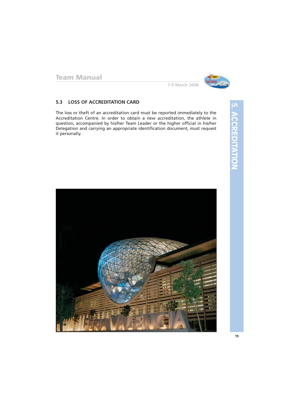

#### **5.3 LOSS OF ACCREDITATION CARD**

The loss or theft of an accreditation card must be reported immediately to the Accreditation Centre. In order to obtain a new accreditation, the athlete in question, accompanied by his/her Team Leader or the higher official in his/her Delegation and carrying an appropriate identification document, must request it personally.

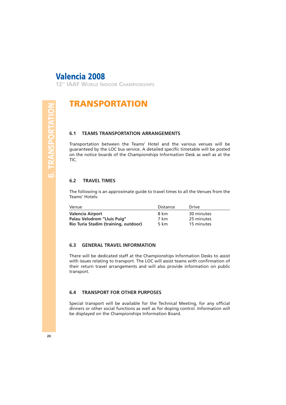**12TH IAAF WORLD INDOOR CHAMPIONSHIPS**

# **TRANSPORTATION**

#### **6.1 TEAMS TRANSPORTATION ARRANGEMENTS**

Transportation between the Teams' Hotel and the various venues will be guaranteed by the LOC bus service. A detailed specific timetable will be posted on the notice boards of the Championships Information Desk as well as at the TIC.

#### **6.2 TRAVEL TIMES**

The following is an approximate guide to travel times to all the Venues from the Teams' Hotels:

| Venue                                | Distance | <b>Drive</b> |
|--------------------------------------|----------|--------------|
| <b>Valencia Airport</b>              | 8 km     | 30 minutes   |
| Palau Velodrom "Lluis Puig"          | 7 km     | 25 minutes   |
| Rio Turia Stadim (training, outdoor) | 5 km     | 15 minutes   |

#### **6.3 GENERAL TRAVEL INFORMATION**

There will be dedicated staff at the Championships Information Desks to assist with issues relating to transport. The LOC will assist teams with confirmation of their return travel arrangements and will also provide information on public transport.

#### **6.4 TRANSPORT FOR OTHER PURPOSES**

Special transport will be available for the Technical Meeting, for any official dinners or other social functions as well as for doping control. Information will be displayed on the Championships Information Board.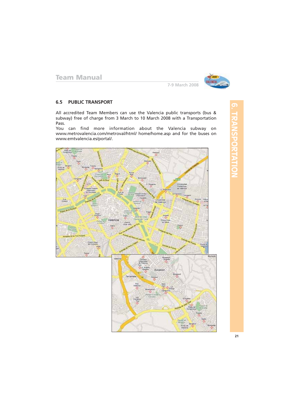

#### **6.5 PUBLIC TRANSPORT**

All accredited Team Members can use the Valencia public transports (bus & subway) free of charge from 3 March to 10 March 2008 with a Transportation Pass.

You can find more information about the Valencia subway on www.metrovalencia.com/metroval/html/ home/home.asp and for the buses on www.emtvalencia.es/portal/.

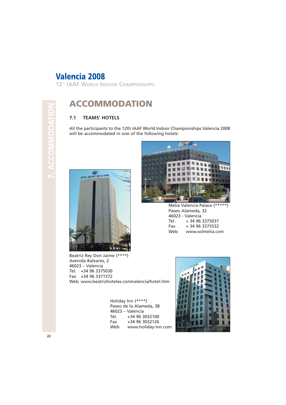**12TH IAAF WORLD INDOOR CHAMPIONSHIPS**

# **7. ACCOMMODATION**

# **ACCOMMODATION**

#### **7.1 TEAMS' HOTELS**

All the participants to the 12th IAAF World Indoor Championships Valencia 2008 will be accommodated in one of the following hotels:



Beatriz Rey Don Jaime (\*\*\*\*) Avenida Baleares, 2 46023 – Valencia Tel. +34 96 3375030 Fax +34 96 3371572 Web www.beatrizhoteles.com/valencia/hotel.htm

> Holiday Inn (\*\*\*\*) Paseo de la Alameda, 38 46023 – Valencia Tel. +34 96 3032100<br>Fax +34 96 3032126 +34 96 3032126 Web www.holiday-inn.com



Melia Valencia Palace (\*\*\*\*\*) Paseo Alameda, 32 46023 - Valencia Tel. + 34 96 3375037 Fax + 34 96 3375532 Web www.solmelia.com

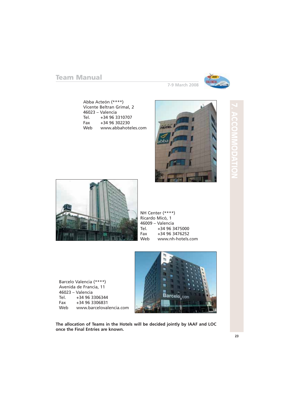

Abba Acteón (\*\*\*\*) Vicente Beltran Grimal, 2 46023 – Valencia Tel. +34 96 3310707 Fax +34 96 302230 Web www.abbahoteles.com



**ACCOMMODATION**



NH Center (\*\*\*\*) Ricardo Micó, 1 46009 – Valencia Tel. +34 96 3475000<br>Fax +34 96 3476252 +34 96 3476252 Web www.nh-hotels.com

Barcelo Valencia (\*\*\*\*) Avenida de Francia, 11 46023 – Valencia Tel. +34 96 3306344<br>Fax +34 96 3306831 +34 96 3306831 Web www.barcelovalencia.com



**The allocation of Teams in the Hotels will be decided jointly by IAAF and LOC once the Final Entries are known.**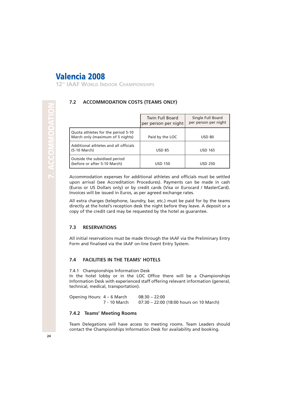**12TH IAAF WORLD INDOOR CHAMPIONSHIPS**

#### **7.2 ACCOMMODATION COSTS (TEAMS ONLY)**

|                                                                        | <b>Twin Full Board</b><br>per person per night | Single Full Board<br>per person per night |
|------------------------------------------------------------------------|------------------------------------------------|-------------------------------------------|
| Quota athletes for the period 5-10<br>March only (maximum of 5 nights) | Paid by the LOC                                | <b>USD 80</b>                             |
| Additional athletes and all officials<br>  (5-10 March)                | <b>USD 85</b>                                  | <b>USD 165</b>                            |
| Outside the subsidised period<br>(before or after 5-10 March)          | <b>USD 150</b>                                 | <b>USD 250</b>                            |

Accommodation expenses for additional athletes and officials must be settled upon arrival (see Accreditation Procedures). Payments can be made in cash (Euros or US Dollars only) or by credit cards (Visa or Eurocard / MasterCard). Invoices will be issued in Euros, as per agreed exchange rates.

All extra charges (telephone, laundry, bar, etc.) must be paid for by the teams directly at the hotel's reception desk the night before they leave. A deposit or a copy of the credit card may be requested by the hotel as guarantee.

#### **7.3 RESERVATIONS**

All initial reservations must be made through the IAAF via the Preliminary Entry Form and finalised via the IAAF on-line Event Entry System.

#### **7.4 FACILITIES IN THE TEAMS' HOTELS**

7.4.1 Championships Information Desk

In the hotel lobby or in the LOC Office there will be a Championships Information Desk with experienced staff offering relevant information (general, technical, medical, transportation).

| Opening Hours: 4 - 6 March | $08:30 - 22:00$ |                                         |
|----------------------------|-----------------|-----------------------------------------|
| 7 - 10 March               |                 | 07:30 – 22:00 (18:00 hours on 10 March) |

#### **7.4.2 Teams' Meeting Rooms**

Team Delegations will have access to meeting rooms. Team Leaders should contact the Championships Information Desk for availability and booking.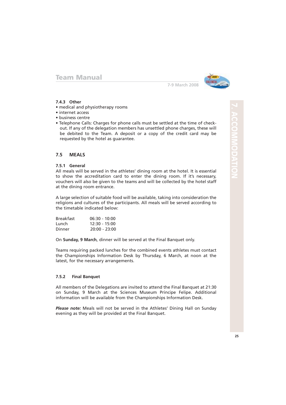

#### **7-9 March 2008**

#### **7.4.3 Other**

- medical and physiotherapy rooms
- internet access
- business centre
- Telephone Calls: Charges for phone calls must be settled at the time of checkout. If any of the delegation members has unsettled phone charges, these will be debited to the Team. A deposit or a copy of the credit card may be requested by the hotel as guarantee.

#### **7.5 MEALS**

#### **7.5.1 General**

All meals will be served in the athletes' dining room at the hotel. It is essential to show the accreditation card to enter the dining room. If it's necessary, vouchers will also be given to the teams and will be collected by the hotel staff at the dining room entrance.

A large selection of suitable food will be available, taking into consideration the religions and cultures of the participants. All meals will be served according to the timetable indicated below:

| <b>Breakfast</b> | $06:30 - 10:00$ |
|------------------|-----------------|
| Lunch            | 12:30 - 15:00   |
| Dinner           | $20:00 - 23:00$ |

On **Sunday, 9 March**, dinner will be served at the Final Banquet only.

Teams requiring packed lunches for the combined events athletes must contact the Championships Information Desk by Thursday, 6 March, at noon at the latest, for the necessary arrangements.

#### **7.5.2 Final Banquet**

All members of the Delegations are invited to attend the Final Banquet at 21:30 on Sunday, 9 March at the Sciences Museum Principe Felipe. Additional information will be available from the Championships Information Desk.

*Please note:* Meals will not be served in the Athletes' Dining Hall on Sunday evening as they will be provided at the Final Banquet.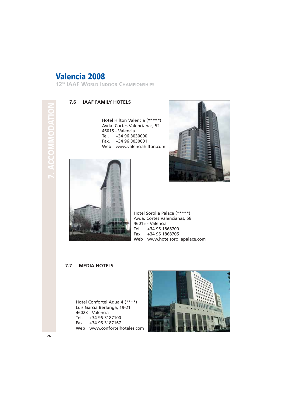**12TH IAAF WORLD INDOOR CHAMPIONSHIPS**

# **7. ACCOMMODATION** C v.

#### **7.6 IAAF FAMILY HOTELS**

Hotel Hilton Valencia (\*\*\*\*\*) Avda. Cortes Valencianas, 52 46015 - Valencia Tel. +34 96 3030000 Fax. +34 96 3030001 Web www.valenciahilton.com





Hotel Sorolla Palace (\*\*\*\*\*) Avda. Cortes Valencianas, 58 46015 - Valencia Tel. +34 96 1868700 Fax. +34 96 1868705 Web www.hotelsorollapalace.com

#### **7.7 MEDIA HOTELS**

Hotel Confortel Aqua 4 (\*\*\*\*) Luis Garcia Berlanga, 19-21 46023 - Valencia Tel. +34 96 3187100 Fax. +34 96 3187167 Web www.confortelhoteles.com

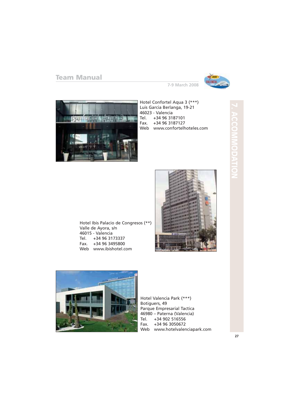

**7-9 March 2008**



Hotel Confortel Aqua 3 (\*\*\*) Luis Garcia Berlanga, 19-21 46023 - Valencia Tel. +34 96 3187101 Fax. +34 96 3187127 Web www.confortelhoteles.com

Valle de Ayora, s/n 46015 - Valencia Tel. +34 96 3173337 Fax. +34 96 3495800

Hotel Ibis Palacio de Congresos (\*\*) Web www.ibishotel.com





Hotel Valencia Park (\*\*\*) Botiguers, 49 Parque Empresarial Tactica 46980 – Paterna (Valencia) Tel. +34 902 516556 Fax. +34 96 3050672 Web www.hotelvalenciapark.com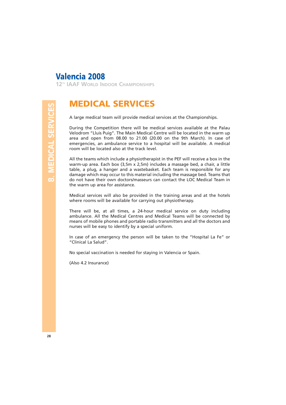**12TH IAAF WORLD INDOOR CHAMPIONSHIPS**

# **MEDICAL SERVICES**

A large medical team will provide medical services at the Championships.

During the Competition there will be medical services available at the Palau Velodrom "Lluis Puig". The Main Medical Centre will be located in the warm up area and open from 08.00 to 21.00 (20.00 on the 9th March). In case of emergencies, an ambulance service to a hospital will be available. A medical room will be located also at the track level.

All the teams which include a physiotherapist in the PEF will receive a box in the warm-up area. Each box (3,5m x 2,5m) includes a massage bed, a chair, a little table, a plug, a hanger and a wastebasket. Each team is responsible for any damage which may occur to this material including the massage bed. Teams that do not have their own doctors/masseurs can contact the LOC Medical Team in the warm up area for assistance.

Medical services will also be provided in the training areas and at the hotels where rooms will be available for carrying out physiotherapy.

There will be, at all times, a 24-hour medical service on duty including ambulance. All the Medical Centres and Medical Teams will be connected by means of mobile phones and portable radio transmitters and all the doctors and nurses will be easy to identify by a special uniform.

In case of an emergency the person will be taken to the "Hospital La Fe" or "Clinical La Salud".

No special vaccination is needed for staying in Valencia or Spain.

(Also 4.2 Insurance)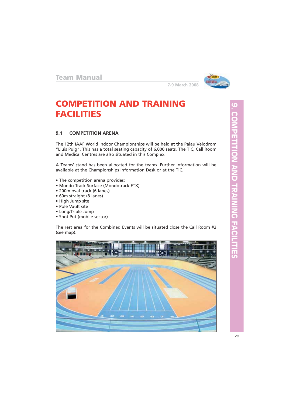

# **COMPETITION AND TRAINING FACILITIES**

#### **9.1 COMPETITION ARENA**

The 12th IAAF World Indoor Championships will be held at the Palau Velodrom "Lluis Puig". This has a total seating capacity of 6,000 seats. The TIC, Call Room and Medical Centres are also situated in this Complex.

A Teams' stand has been allocated for the teams. Further information will be available at the Championships Information Desk or at the TIC.

- The competition arena provides:
- Mondo Track Surface (Mondotrack FTX)
- 200m oval track (6 lanes)
- 60m straight (8 lanes)
- High Jump site
- Pole Vault site
- Long/Triple Jump
- Shot Put (mobile sector)

The rest area for the Combined Events will be situated close the Call Room #2 (see map).

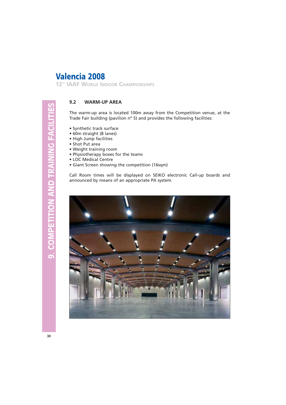**12TH IAAF WORLD INDOOR CHAMPIONSHIPS**

#### **9.2 WARM-UP AREA**

The warm-up area is located 100m away from the Competition venue, at the Trade Fair building (pavilion nº 5) and provides the following facilities:

- Synthetic track surface
- 60m straight (8 lanes)
- High Jump facilities
- Shot Put area
- Weight training room
- Physiotherapy boxes for the teams
- LOC Medical Centre
- Giant Screen showing the competition (16sqm)

Call Room times will be displayed on SEIKO electronic Call-up boards and announced by means of an appropriate PA system.

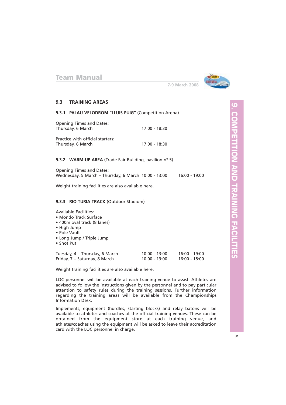

#### **7-9 March 2008**

#### **9.3 TRAINING AREAS**

#### **9.3.1 PALAU VELODROM "LLUIS PUIG"** (Competition Arena)

| Opening Times and Dates:<br>Thursday, 6 March         | $17:00 - 18:30$ |
|-------------------------------------------------------|-----------------|
| Practice with official starters:<br>Thursday, 6 March | $17:00 - 18:30$ |

#### **9.3.2 WARM-UP AREA** (Trade Fair Building, pavilion nº 5)

| <b>Opening Times and Dates:</b>                      |               |
|------------------------------------------------------|---------------|
| Wednesday, 5 March - Thursday, 6 March 10:00 - 13:00 | 16:00 - 19:00 |

Weight training facilities are also available here.

#### **9.3.3 RIO TURIA TRACK** (Outdoor Stadium)

#### Available Facilities:

- Mondo Track Surface
- 400m oval track (8 lanes)
- High Jump
- Pole Vault
- Long Jump / Triple Jump
- Shot Put

| Tuesday, 4 – Thursday, 6 March | $10:00 - 13:00$ | 16:00 - 19:00 |
|--------------------------------|-----------------|---------------|
| Friday, 7 – Saturday, 8 March  | $10:00 - 13:00$ | 16:00 - 18:00 |

Weight training facilities are also available here.

LOC personnel will be available at each training venue to assist. Athletes are advised to follow the instructions given by the personnel and to pay particular attention to safety rules during the training sessions. Further information regarding the training areas will be available from the Championships Information Desk.

Implements, equipment (hurdles, starting blocks) and relay batons will be available to athletes and coaches at the official training venues. These can be obtained from the equipment store at each training venue, and athletes/coaches using the equipment will be asked to leave their accreditation card with the LOC personnel in charge.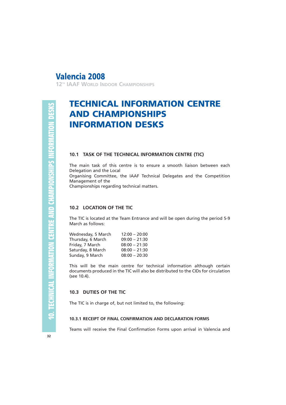**12TH IAAF WORLD INDOOR CHAMPIONSHIPS**

# **TECHNICAL INFORMATION CENTRE AND CHAMPIONSHIPS INFORMATION DESKS**

#### **10.1 TASK OF THE TECHNICAL INFORMATION CENTRE (TIC)**

The main task of this centre is to ensure a smooth liaison between each Delegation and the Local

Organising Committee, the IAAF Technical Delegates and the Competition Management of the

Championships regarding technical matters.

#### **10.2 LOCATION OF THE TIC**

The TIC is located at the Team Entrance and will be open during the period 5-9 March as follows:

| Wednesday, 5 March | $12:00 - 20:00$ |
|--------------------|-----------------|
| Thursday, 6 March  | $09:00 - 21:30$ |
| Friday, 7 March    | $08:00 - 21:30$ |
| Saturday, 8 March  | $08:00 - 21:30$ |
| Sunday, 9 March    | $08:00 - 20:30$ |

This will be the main centre for technical information although certain documents produced in the TIC will also be distributed to the CIDs for circulation (see 10.4).

#### **10.3 DUTIES OF THE TIC**

The TIC is in charge of, but not limited to, the following:

#### **10.3.1 RECEIPT OF FINAL CONFIRMATION AND DECLARATION FORMS**

Teams will receive the Final Confirmation Forms upon arrival in Valencia and

**32**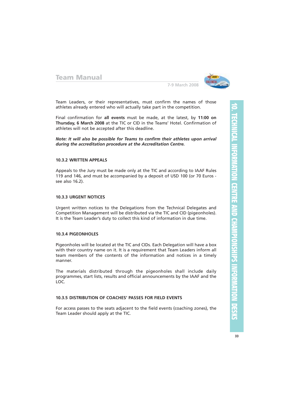

**7-9 March 2008**

Team Leaders, or their representatives, must confirm the names of those athletes already entered who will actually take part in the competition.

Final confirmation for **all events** must be made, at the latest, by **11:00 on Thursday, 6 March 2008** at the TIC or CID in the Teams' Hotel. Confirmation of athletes will not be accepted after this deadline.

*Note: It will also be possible for Teams to confirm their athletes upon arrival during the accreditation procedure at the Accreditation Centre.*

#### **10.3.2 WRITTEN APPEALS**

Appeals to the Jury must be made only at the TIC and according to IAAF Rules 119 and 146, and must be accompanied by a deposit of USD 100 (or 70 Euros see also 16.2).

#### **10.3.3 URGENT NOTICES**

Urgent written notices to the Delegations from the Technical Delegates and Competition Management will be distributed via the TIC and CID (pigeonholes). It is the Team Leader's duty to collect this kind of information in due time.

#### **10.3.4 PIGEONHOLES**

Pigeonholes will be located at the TIC and CIDs. Each Delegation will have a box with their country name on it. It is a requirement that Team Leaders inform all team members of the contents of the information and notices in a timely manner.

The materials distributed through the pigeonholes shall include daily programmes, start lists, results and official announcements by the IAAF and the LOC.

#### **10.3.5 DISTRIBUTION OF COACHES' PASSES FOR FIELD EVENTS**

For access passes to the seats adjacent to the field events (coaching zones), the Team Leader should apply at the TIC.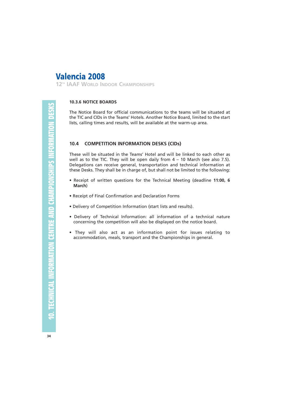**12TH IAAF WORLD INDOOR CHAMPIONSHIPS**

#### **10.3.6 NOTICE BOARDS**

The Notice Board for official communications to the teams will be situated at the TIC and CIDs in the Teams' Hotels. Another Notice Board, limited to the start lists, calling times and results, will be available at the warm-up area.

#### **10.4 COMPETITION INFORMATION DESKS (CIDs)**

These will be situated in the Teams' Hotel and will be linked to each other as well as to the TIC. They will be open daily from  $4 - 10$  March (see also 7.5). Delegations can receive general, transportation and technical information at these Desks. They shall be in charge of, but shall not be limited to the following:

- Receipt of written questions for the Technical Meeting (deadline **11:00, 6 March**)
- Receipt of Final Confirmation and Declaration Forms
- Delivery of Competition Information (start lists and results).
- Delivery of Technical Information: all information of a technical nature concerning the competition will also be displayed on the notice board.
- They will also act as an information point for issues relating to accommodation, meals, transport and the Championships in general.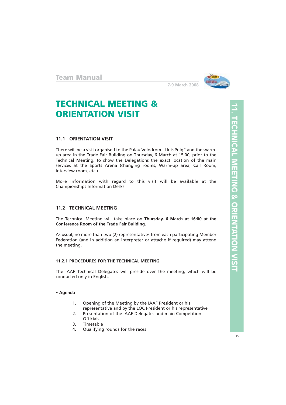

# **TECHNICAL MEETING & ORIENTATION VISIT**

#### **11.1 ORIENTATION VISIT**

There will be a visit organised to the Palau Velodrom "Lluis Puig" and the warmup area in the Trade Fair Building on Thursday, 6 March at 15:00, prior to the Technical Meeting, to show the Delegations the exact location of the main services at the Sports Arena (changing rooms, Warm-up area, Call Room, interview room, etc.).

More information with regard to this visit will be available at the Championships Information Desks.

#### **11.2 TECHNICAL MEETING**

The Technical Meeting will take place on **Thursday, 6 March at 16:00 at the Conference Room of the Trade Fair Building**.

As usual, no more than two (2) representatives from each participating Member Federation (and in addition an interpreter or attaché if required) may attend the meeting.

#### **11.2.1 PROCEDURES FOR THE TECHNICAL MEETING**

The IAAF Technical Delegates will preside over the meeting, which will be conducted only in English.

#### **• Agenda**

- 1. Opening of the Meeting by the IAAF President or his representative and by the LOC President or his representative
- 2. Presentation of the IAAF Delegates and main Competition **Officials**
- 3. Timetable
- 4. Qualifying rounds for the races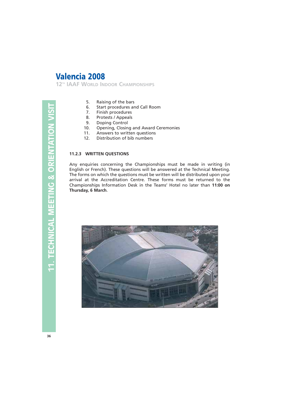**12TH IAAF WORLD INDOOR CHAMPIONSHIPS**

- 5. Raising of the bars
- 6. Start procedures and Call Room
- 7. Finish procedures
- 8. Protests / Appeals
- 9. Doping Control
- 10. Opening, Closing and Award Ceremonies
- 11. Answers to written questions
- 12. Distribution of bib numbers

#### **11.2.3 WRITTEN QUESTIONS**

Any enquiries concerning the Championships must be made in writing (in English or French). These questions will be answered at the Technical Meeting. The forms on which the questions must be written will be distributed upon your arrival at the Accreditation Centre. These forms must be returned to the Championships Information Desk in the Teams' Hotel no later than **11:00 on Thursday, 6 March**.

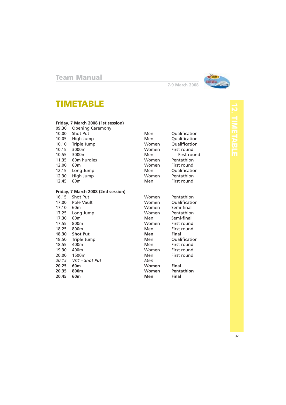

# **TIMETABLE**

#### **Friday, 7 March 2008 (1st session)**

09.30 Opening Ceremony 10.00 Shot Put **Men** Qualification 10.05 High Jump Men Qualification 10.10 Triple Jump Women Qualification 10.15 3000m Women First round 10.55 3000m Men Men First round 11.35 60m hurdles Momen Pentathlon<br>12.00 60m burdles Women First round 12.00 60m Women First round 12.15 Long Jump Men Qualification 12.30 High Jump Women Pentathlon

#### **Friday, 7 March 2008 (2nd session)**

| 16.15 | Shot Put          | Women | Pentathlon   |
|-------|-------------------|-------|--------------|
| 17.00 | Pole Vault        | Women | Qualificatic |
| 17.10 | 60 <sub>m</sub>   | Women | Semi-final   |
| 17.25 | Long Jump         | Women | Pentathlon   |
| 17.30 | 60 <sub>m</sub>   | Men   | Semi-final   |
| 17.55 | 800 <sub>m</sub>  | Women | First round  |
| 18.25 | 800 <sub>m</sub>  | Men   | First round  |
| 18.30 | <b>Shot Put</b>   | Men   | Final        |
| 18.50 | Triple Jump       | Men   | Qualificatic |
| 18.55 | 400 <sub>m</sub>  | Men   | First round  |
| 19.30 | 400 <sub>m</sub>  | Women | First round  |
| 20.00 | 1500 <sub>m</sub> | Men   | First round  |
| 20.15 | VC1 - Shot Put    | Men   |              |
| 20.25 | 60 <sub>m</sub>   | Women | <b>Final</b> |
| 20.35 | 800m              | Women | Pentathlon   |
| 20.45 | 60 <sub>m</sub>   | Men   | Final        |

First round

**7-9 March 2008**

Women Pentathlon Women Qualification Women Semi-final Women Pentathlon 17.50 Men Semi-final<br>17.30 Women First round First round 18.25 Men First round<br>
19.25 Men Final 18.50 Men Qualification<br>18.50 Men First round First round Women First round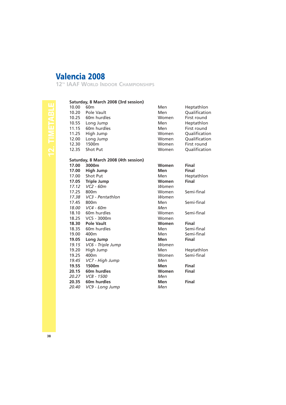**12TH IAAF WORLD INDOOR CHAMPIONSHIPS**

#### **Saturday, 8 March 2008 (3rd session)**

| 10.00 | 60 <sub>m</sub>                      | Men   | Heptathlon    |
|-------|--------------------------------------|-------|---------------|
| 10.20 | Pole Vault                           | Men   | Qualification |
| 10.25 | 60 <sub>m</sub> hurdles              | Women | First round   |
| 10.55 | Long Jump                            | Men   | Heptathlon    |
| 11.15 | 60 <sub>m</sub> hurdles              | Men   | First round   |
| 11.25 | High Jump                            | Women | Qualification |
| 12.00 | Long Jump                            | Women | Qualification |
| 12.30 | 1500 <sub>m</sub>                    | Women | First round   |
| 12.35 | <b>Shot Put</b>                      | Women | Qualification |
|       | Saturday, 8 March 2008 (4th session) |       |               |
| 17.00 | 3000m                                | Women | <b>Final</b>  |
| 17.00 | High Jump                            | Men   | <b>Final</b>  |
| 17.00 | Shot Put                             | Men   | Heptathlon    |
| 17.05 | <b>Triple Jump</b>                   | Women | <b>Final</b>  |
| 17.12 | $VC2 - 60m$                          | Women |               |
| 17.25 | 800 <sub>m</sub>                     | Women | Semi-final    |
| 17.38 | VC3 - Pentathlon                     | Women |               |
| 17.45 | 800 <sub>m</sub>                     | Men   | Semi-final    |
| 18.00 | $VC4 - 60m$                          | Men   |               |
| 18.10 | 60 <sub>m</sub> hurdles              | Women | Semi-final    |
| 18.25 | VC5 - 3000m                          | Women |               |
| 18.30 | <b>Pole Vault</b>                    | Women | <b>Final</b>  |
| 18.35 | 60 <sub>m</sub> hurdles              | Men   | Semi-final    |
| 19.00 | 400 <sub>m</sub>                     | Men   | Semi-final    |
| 19.05 | Long Jump                            | Men   | Final         |
| 19.15 | VC6 - Triple Jump                    | Women |               |

19.20 High Jump Men Heptathlon 19.25 400m Women Semi-final

19.55 1500m **Men** Final<br>
20.15 60m hurdles **Momen** Final

**20.35 60m hurdles Men Final**<br>
20.40 VC9 - Long Jump Men Men

*19.15 VC6 - Triple Jump Wom*<br>19.20 High Jump Men

*19.45 VC7 - High Jump Men*

*20.27 VC8 - 1500 Men*

**20.15** 60m hurdles

*20.40 VC9 - Long Jump*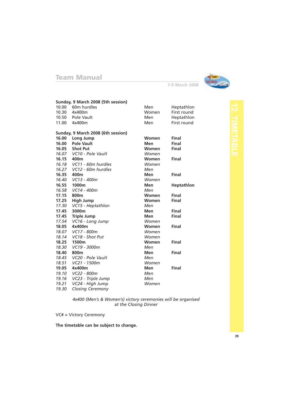

**7-9 March 2008**

|            | Sunday, 9 March 2008 (5th session) |              |                   |
|------------|------------------------------------|--------------|-------------------|
|            | 10.00 60m hurdles                  | Men          | Heptathlon        |
|            | 10.30 4x400m                       | Women        | First round       |
|            | 10.50 Pole Vault                   | <b>Men</b>   | Heptathlon        |
|            | 11.00 4x400m                       | Men          | First round       |
|            |                                    |              |                   |
|            | Sunday, 9 March 2008 (6th session) |              |                   |
| 16.00      | Long Jump                          | Women        | <b>Final</b>      |
| 16.00      | <b>Pole Vault</b>                  | <b>Men</b>   | Final             |
| 16.05      | <b>Shot Put</b>                    | Women        | Final             |
|            | 16.07 VC10 - Pole Vault            | Women        |                   |
| 16.15 400m |                                    | <b>Women</b> | Final             |
|            | 16.18 VC11 - 60m hurdles           | Women        |                   |
|            | 16.27 VC12 - 60m hurdles           | Men          |                   |
| 16.35      | 400m                               | Men          | Final             |
|            | 16.40 VC13 - 400m                  | Women        |                   |
|            | 16.55 1000m                        | Men          | <b>Heptathlon</b> |
|            | 16.58 VC14 - 400m                  | Men          |                   |
| 17.15      | 800 <sub>m</sub>                   | <b>Women</b> | Final             |
| 17.25      | <b>High Jump</b>                   | <b>Women</b> | Final             |
|            | 17.30 VC15 - Heptathlon            | Men          |                   |
| 17.45      | 3000m                              | <b>Men</b>   | Final             |
| 17.45      | <b>Triple Jump</b>                 | <b>Men</b>   | Final             |
| 17.54      | VC16 - Long Jump                   | Women        |                   |
| 18.05      | 4x400m                             | Women        | Final             |
|            | 18.07 VC17 - 800m                  | Women        |                   |
|            | 18.14 VC18 - Shot Put              | Women        |                   |
|            | 18.25 1500m                        | Women        | Final             |
|            | 18.30 VC19 - 3000m                 | Men          |                   |
| 18.40      | 800m                               | <b>Men</b>   | Final             |
|            | 18.45 VC20 - Pole Vault            | Men          |                   |
| 18.51      | VC21 - 1500m                       | Women        |                   |
| 19.05      | 4x400m                             | <b>Men</b>   | Final             |
| 19.10      | VC22 - 800m                        | Men          |                   |
| 19.16      | VC23 - Triple Jump                 | Men          |                   |
| 19.21      | VC24 - High Jump                   | Women        |                   |
| 19.30      | <b>Closing Ceremony</b>            |              |                   |

*4x400 (Men's & Women's) victory ceremonies will be organised at the Closing Dinner*

VC# = Victory Ceremony

**The timetable can be subject to change.**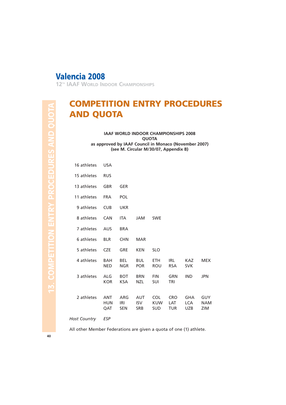**12TH IAAF WORLD INDOOR CHAMPIONSHIPS**

# **COMPETITION ENTRY PROCEDURES AND QUOTA**

**IAAF WORLD INDOOR CHAMPIONSHIPS 2008 QUOTA as approved by IAAF Council in Monaco (November 2007) (see M. Circular M/30/07, Appendix B)**

| 16 athletes | <b>USA</b>                      |                          |                                        |                                        |                                 |                                        |                                 |
|-------------|---------------------------------|--------------------------|----------------------------------------|----------------------------------------|---------------------------------|----------------------------------------|---------------------------------|
| 15 athletes | <b>RUS</b>                      |                          |                                        |                                        |                                 |                                        |                                 |
| 13 athletes | <b>GBR</b>                      | GER                      |                                        |                                        |                                 |                                        |                                 |
| 11 athletes | <b>FRA</b>                      | <b>POL</b>               |                                        |                                        |                                 |                                        |                                 |
| 9 athletes  | <b>CUB</b>                      | <b>UKR</b>               |                                        |                                        |                                 |                                        |                                 |
| 8 athletes  | CAN                             | <b>ITA</b>               | <b>JAM</b>                             | <b>SWE</b>                             |                                 |                                        |                                 |
| 7 athletes  | <b>AUS</b>                      | <b>BRA</b>               |                                        |                                        |                                 |                                        |                                 |
| 6 athletes  | <b>BLR</b>                      | <b>CHN</b>               | <b>MAR</b>                             |                                        |                                 |                                        |                                 |
| 5 athletes  | <b>CZE</b>                      | <b>GRE</b>               | <b>KEN</b>                             | <b>SLO</b>                             |                                 |                                        |                                 |
| 4 athletes  | <b>BAH</b><br><b>NED</b>        | <b>BEL</b><br><b>NGR</b> | <b>BUL</b><br><b>POR</b>               | ETH.<br><b>ROU</b>                     | IRL<br><b>RSA</b>               | <b>KAZ</b><br><b>SVK</b>               | <b>MEX</b>                      |
| 3 athletes  | ALG<br><b>KOR</b>               | <b>BOT</b><br><b>KSA</b> | <b>BRN</b><br><b>NZL</b>               | <b>FIN</b><br>SUI                      | GRN<br>TRI                      | <b>IND</b>                             | <b>JPN</b>                      |
| 2 athletes  | <b>ANT</b><br><b>HUN</b><br>QAT | ARG<br>IRI<br><b>SEN</b> | <b>AUT</b><br><b>ISV</b><br><b>SRB</b> | <b>COL</b><br><b>KUW</b><br><b>SUD</b> | <b>CRO</b><br>LAT<br><b>TUR</b> | <b>GHA</b><br><b>LCA</b><br><b>UZB</b> | <b>GUY</b><br><b>NAM</b><br>ZIM |
|             |                                 |                          |                                        |                                        |                                 |                                        |                                 |

*Host Country ESP*

All other Member Federations are given a quota of one (1) athlete.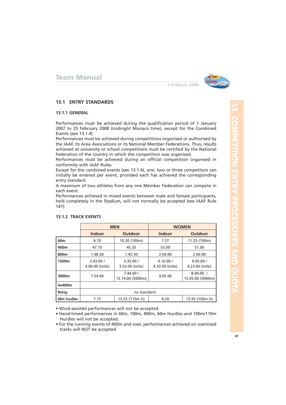

#### **13.1 ENTRY STANDARDS**

#### **13.1.1 GENERAL**

Performances must be achieved during the qualification period of 1 January 2007 to 25 February 2008 (midnight Monaco time), except for the Combined Events (see 13.1.4)

Performances must be achieved during competitions organised or authorised by the IAAF, its Area Associations or its National Member Federations. Thus, results achieved at university or school competitions must be certified by the National Federation of the country in which the competition was organised.

Performances must be achieved during an official competition organised in conformity with IAAF Rules.

Except for the combined events (see 13.1.4), one, two or three competitors can initially be entered per event, provided each has achieved the corresponding entry standard.

A maximum of two athletes from any one Member Federation can compete in each event.

Performances achieved in mixed events between male and female participants, held completely in the Stadium, will not normally be accepted (see IAAF Rule 147).

|                 | <b>MEN</b>                  |                               | <b>WOMEN</b>                |                               |  |  |
|-----------------|-----------------------------|-------------------------------|-----------------------------|-------------------------------|--|--|
|                 | <b>Indoor</b>               | Outdoor                       | <b>Indoor</b>               | <b>Outdoor</b>                |  |  |
| 60 <sub>m</sub> | 6.70                        | 10.20 (100m)                  | 7.37                        | 11.25 (100m)                  |  |  |
| 400m            | 47.10                       | 45.35                         | 53.00                       | 51.00                         |  |  |
| 800m            | 1.48.50                     | 1.45.50                       | 2.04.00                     | 2.00.00                       |  |  |
| 1500m           | 3.43.00 /<br>4.00.00 (mile) | 3.35.00 /<br>3.52.00 (mile)   | 4.16.00 /<br>4.33.00 (mile) | 4.05.00 /<br>4.23.00 (mile)   |  |  |
| 3000m           | 7.54.00                     | 7.44.00 /<br>13.19.00 (5000m) | 9.05.00                     | 8.40.00 /<br>15.05.00 (5000m) |  |  |
| 4x400m          |                             |                               |                             |                               |  |  |
| Relay           | no standard                 |                               |                             |                               |  |  |
| 60m hurdles     | 7.75                        | 13.55 (110m h)                | 8.20                        | 12.95 (100m h)                |  |  |

#### **13.1.2 TRACK EVENTS**

• Wind-assisted performances will not be accepted.

• Hand-timed performances in 60m, 100m, 400m, 60m Hurdles and 100m/110m Hurdles will not be accepted.

• For the running events of 400m and over, performances achieved on oversized tracks will NOT be accepted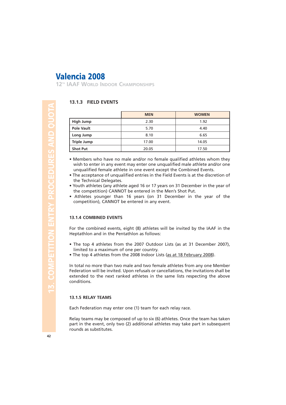**12TH IAAF WORLD INDOOR CHAMPIONSHIPS**

#### **13.1.3 FIELD EVENTS**

|                    | <b>MEN</b> | <b>WOMEN</b> |
|--------------------|------------|--------------|
| High Jump          | 2.30       | 1.92         |
| <b>Pole Vault</b>  | 5.70       | 4.40         |
| Long Jump          | 8.10       | 6.65         |
| <b>Triple Jump</b> | 17.00      | 14.05        |
| <b>Shot Put</b>    | 20.05      | 17.50        |

- Members who have no male and/or no female qualified athletes whom they wish to enter in any event may enter one unqualified male athlete and/or one unqualified female athlete in one event except the Combined Events.
- The acceptance of unqualified entries in the Field Events is at the discretion of the Technical Delegates.
- Youth athletes (any athlete aged 16 or 17 years on 31 December in the year of the competition) CANNOT be entered in the Men's Shot Put.
- Athletes younger than 16 years (on 31 December in the year of the competition), CANNOT be entered in any event.

#### **13.1.4 COMBINED EVENTS**

For the combined events, eight (8) athletes will be invited by the IAAF in the Heptathlon and in the Pentathlon as follows:

- The top 4 athletes from the 2007 Outdoor Lists (as at 31 December 2007), limited to a maximum of one per country.
- The top 4 athletes from the 2008 Indoor Lists (as at 18 February 2008).

In total no more than two male and two female athletes from any one Member Federation will be invited. Upon refusals or cancellations, the invitations shall be extended to the next ranked athletes in the same lists respecting the above conditions.

#### **13.1.5 RELAY TEAMS**

Each Federation may enter one (1) team for each relay race.

Relay teams may be composed of up to six (6) athletes. Once the team has taken part in the event, only two (2) additional athletes may take part in subsequent rounds as substitutes.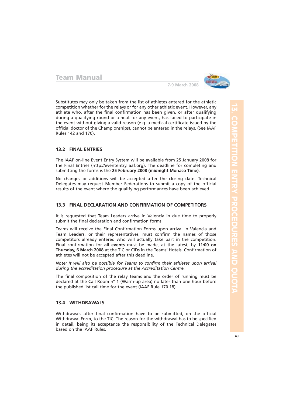

Substitutes may only be taken from the list of athletes entered for the athletic competition whether for the relays or for any other athletic event. However, any athlete who, after the final confirmation has been given, or after qualifying during a qualifying round or a heat for any event, has failed to participate in the event without giving a valid reason (e.g. a medical certificate issued by the official doctor of the Championships), cannot be entered in the relays. (See IAAF Rules 142 and 170).

#### **13.2 FINAL ENTRIES**

The IAAF on-line Event Entry System will be available from 25 January 2008 for the Final Entries (http://evententry.iaaf.org). The deadline for completing and submitting the forms is the **25 February 2008 (midnight Monaco Time)**.

No changes or additions will be accepted after the closing date. Technical Delegates may request Member Federations to submit a copy of the official results of the event where the qualifying performances have been achieved.

#### **13.3 FINAL DECLARATION AND CONFIRMATION OF COMPETITORS**

It is requested that Team Leaders arrive in Valencia in due time to properly submit the final declaration and confirmation forms.

Teams will receive the Final Confirmation Forms upon arrival in Valencia and Team Leaders, or their representatives, must confirm the names of those competitors already entered who will actually take part in the competition. Final confirmation for **all events** must be made, at the latest, by **11:00 on Thursday, 6 March 2008** at the TIC or CIDs in the Teams' Hotels. Confirmation of athletes will not be accepted after this deadline.

*Note: It will also be possible for Teams to confirm their athletes upon arrival during the accreditation procedure at the Accreditation Centre.*

The final composition of the relay teams and the order of running must be declared at the Call Room nº 1 (Warm-up area) no later than one hour before the published 1st call time for the event (IAAF Rule 170.18).

#### **13.4 WITHDRAWALS**

Withdrawals after final confirmation have to be submitted, on the official Withdrawal Form, to the TIC. The reason for the withdrawal has to be specified in detail, being its acceptance the responsibility of the Technical Delegates based on the IAAF Rules.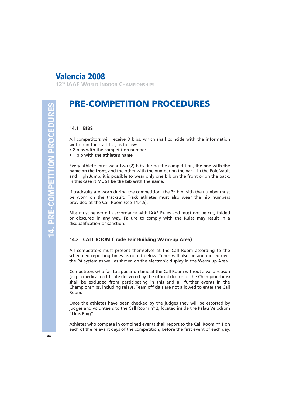**12TH IAAF WORLD INDOOR CHAMPIONSHIPS**

# **PRE-COMPETITION PROCEDURES**

#### **14.1 BIBS**

All competitors will receive 3 bibs, which shall coincide with the information written in the start list, as follows:

- 2 bibs with the competition number
- 1 bib with **the athlete's name**

Every athlete must wear two (2) bibs during the competition, t**he one with the name on the front**, and the other with the number on the back. In the Pole Vault and High Jump, it is possible to wear only one bib on the front or on the back. **In this case it MUST be the bib with the name.**

If tracksuits are worn during the competition, the  $3<sup>rd</sup>$  bib with the number must be worn on the tracksuit. Track athletes must also wear the hip numbers provided at the Call Room (see 14.4.5).

Bibs must be worn in accordance with IAAF Rules and must not be cut, folded or obscured in any way. Failure to comply with the Rules may result in a disqualification or sanction.

#### **14.2 CALL ROOM (Trade Fair Building Warm-up Area)**

All competitors must present themselves at the Call Room according to the scheduled reporting times as noted below. Times will also be announced over the PA system as well as shown on the electronic display in the Warm up Area.

Competitors who fail to appear on time at the Call Room without a valid reason (e.g. a medical certificate delivered by the official doctor of the Championships) shall be excluded from participating in this and all further events in the Championships, including relays. Team officials are not allowed to enter the Call Room.

Once the athletes have been checked by the judges they will be escorted by judges and volunteers to the Call Room nº 2, located inside the Palau Velodrom "Lluis Puig".

Athletes who compete in combined events shall report to the Call Room nº 1 on each of the relevant days of the competition, before the first event of each day.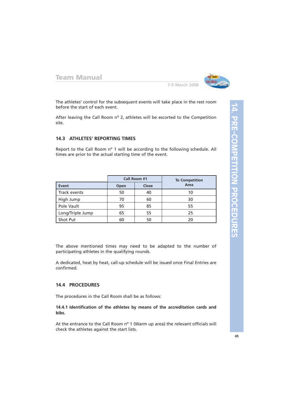

**7-9 March 2008**

The athletes' control for the subsequent events will take place in the rest room before the start of each event.

After leaving the Call Room nº 2, athletes will be escorted to the Competition site.

#### **14.3 ATHLETES' REPORTING TIMES**

Report to the Call Room nº 1 will be according to the following schedule. All times are prior to the actual starting time of the event.

|                  |               | Call Room #1 | <b>To Competition</b> |
|------------------|---------------|--------------|-----------------------|
| Event            | Close<br>Open |              | Area                  |
| Track events     | 50            | 40           | 10                    |
| High Jump        | 70            | 60           | 30                    |
| Pole Vault       | 95            | 85           | 55                    |
| Long/Triple Jump | 65            | 55           | 25                    |
| Shot Put         | 60            | 50           | 20                    |

The above mentioned times may need to be adapted to the number of participating athletes in the qualifying rounds.

A dedicated, heat by heat, call-up schedule will be issued once Final Entries are confirmed.

#### **14.4 PROCEDURES**

The procedures in the Call Room shall be as follows:

**14.4.1 Identification of the athletes by means of the accreditation cards and bibs.**

At the entrance to the Call Room n° 1 (Warm up area) the relevant officials will check the athletes against the start lists.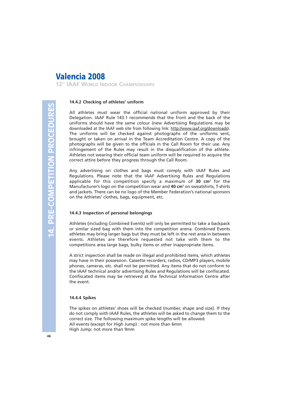**12TH IAAF WORLD INDOOR CHAMPIONSHIPS**

#### **14.4.2 Checking of athletes' uniform**

All athletes must wear the official national uniform approved by their Delegation. IAAF Rule 143.1 recommends that the front and the back of the uniforms should have the same colour (new Advertising Regulations may be downloaded at the IAAF web site from following link: http://www.iaaf.org/downloads). The uniforms will be checked against photographs of the uniforms sent, brought or taken on arrival in the Team Accreditation Centre. A copy of the photographs will be given to the officials in the Call Room for their use. Any infringement of the Rules may result in the disqualification of the athlete. Athletes not wearing their official team uniform will be required to acquire the correct attire before they progress through the Call Room.

Any advertising on clothes and bags must comply with IAAF Rules and Regulations. Please note that the IAAF Advertising Rules and Regulations applicable for this competition specify a maximum of 30 cm<sup>2</sup> for the Manufacturer's logo on the competition wear and **40 cm2** on sweatshirts, T-shirts and jackets. There can be no logo of the Member Federation's national sponsors on the Athletes' clothes, bags, equipment, etc.

#### **14.4.3 Inspection of personal belongings**

Athletes (including Combined Events) will only be permitted to take a backpack or similar sized bag with them into the competition arena. Combined Events athletes may bring larger bags but they must be left in the rest area in between events. Athletes are therefore requested not take with them to the competitions area large bags, bulky items or other inappropriate items.

A strict inspection shall be made on illegal and prohibited items, which athletes may have in their possession. Cassette recorders, radios, CD/MP3 players, mobile phones, cameras, etc. shall not be permitted. Any items that do not conform to the IAAF technical and/or advertising Rules and Regulations will be confiscated. Confiscated items may be retrieved at the Technical Information Centre after the event.

#### **14.4.4 Spikes**

The spikes on athletes' shoes will be checked (number, shape and size). If they do not comply with IAAF Rules, the athletes will be asked to change them to the correct size. The following maximum spike lengths will be allowed: All events (except for High Jump) : not more than 6mm High Jump: not more than 9mm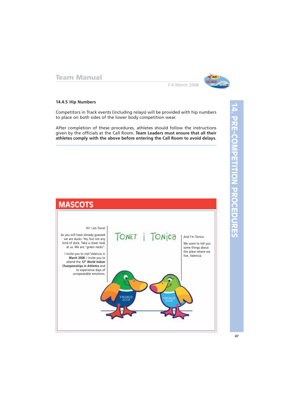

**7-9 March 2008**

#### **14.4.5 Hip Numbers**

Competitors in Track events (including relays) will be provided with hip numbers to place on both sides of the lower body competition wear.

After completion of these procedures, athletes should follow the instructions given by the officials at the Call Room. **Team Leaders must ensure that all their athletes comply with the above before entering the Call Room to avoid delays.**

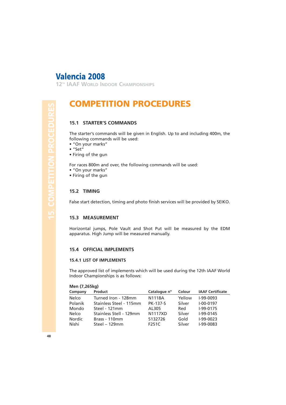**12TH IAAF WORLD INDOOR CHAMPIONSHIPS**

# **COMPETITION PROCEDURES**

#### **15.1 STARTER'S COMMANDS**

The starter's commands will be given in English. Up to and including 400m, the following commands will be used:

- "On your marks"
- "Set"
- Firing of the gun

For races 800m and over, the following commands will be used:

- "On your marks"
- Firing of the gun

#### **15.2 TIMING**

False start detection, timing and photo finish services will be provided by SEIKO.

#### **15.3 MEASUREMENT**

Horizontal jumps, Pole Vault and Shot Put will be measured by the EDM apparatus. High Jump will be measured manually.

#### **15.4 OFFICIAL IMPLEMENTS**

#### **15.4.1 LIST OF IMPLEMENTS**

The approved list of implements which will be used during the 12th IAAF World Indoor Championships is as follows:

#### **Men (7,265kg)**

| Company | Product                 | Catalogue nº    | Colour | <b>IAAF Certificate</b> |
|---------|-------------------------|-----------------|--------|-------------------------|
| Nelco   | Turned Iron - 128mm     | <b>N1118A</b>   | Yellow | $I-99-0093$             |
| Polanik | Stainless Steel - 115mm | <b>PK-137-S</b> | Silver | $I - 00 - 0197$         |
| Mondo   | Steel - 121mm           | AL305           | Red    | $I-99-0175$             |
| Nelco   | Stainless Stell - 129mm | <b>N1117XD</b>  | Silver | $I-99-0145$             |
| Nordic  | Brass - 110mm           | 5132726         | Gold   | $I-99-0023$             |
| Nishi   | Steel $-129$ mm         | F251C           | Silver | $I-99-0083$             |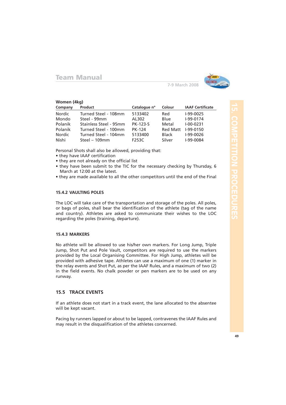

**7-9 March 2008**

#### **Women (4kg)**

| Company | Product                | Catalogue nº    | Colour          | <b>IAAF Certificate</b> |
|---------|------------------------|-----------------|-----------------|-------------------------|
| Nordic  | Turned Steel - 108mm   | 5133402         | Red             | I-99-0025               |
| Mondo   | Steel - 99mm           | AL302           | Blue            | I-99-0174               |
| Polanik | Stainless Steel - 95mm | <b>PK-123-S</b> | Metal           | $I - 00 - 0231$         |
| Polanik | Turned Steel - 100mm   | <b>PK-124</b>   | <b>Red Matt</b> | $I-99-0150$             |
| Nordic  | Turned Steel - 104mm   | 5133400         | <b>Black</b>    | I-99-0026               |
| Nishi   | Steel $-109$ mm        | F253C           | Silver          | I-99-0084               |

Personal Shots shall also be allowed, providing that:

- they have IAAF certification
- they are not already on the official list
- they have been submit to the TIC for the necessary checking by Thursday, 6 March at 12:00 at the latest.
- they are made available to all the other competitors until the end of the Final

#### **15.4.2 VAULTING POLES**

The LOC will take care of the transportation and storage of the poles. All poles, or bags of poles, shall bear the identification of the athlete (tag of the name and country). Athletes are asked to communicate their wishes to the LOC regarding the poles (training, departure).

#### **15.4.3 MARKERS**

No athlete will be allowed to use his/her own markers. For Long Jump, Triple Jump, Shot Put and Pole Vault, competitors are required to use the markers provided by the Local Organising Committee. For High Jump, athletes will be provided with adhesive tape. Athletes can use a maximum of one (1) marker in the relay events and Shot Put, as per the IAAF Rules, and a maximum of two (2) in the field events. No chalk powder or pen markers are to be used on any runway.

#### **15.5 TRACK EVENTS**

If an athlete does not start in a track event, the lane allocated to the absentee will be kept vacant.

Pacing by runners lapped or about to be lapped, contravenes the IAAF Rules and may result in the disqualification of the athletes concerned.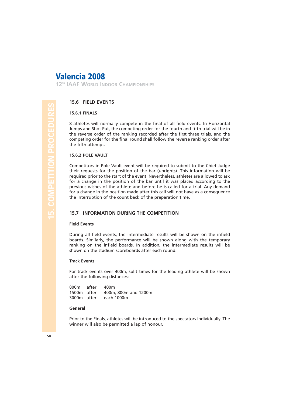**12TH IAAF WORLD INDOOR CHAMPIONSHIPS**

#### **15.6 FIELD EVENTS**

#### **15.6.1 FINALS**

8 athletes will normally compete in the final of all field events. In Horizontal Jumps and Shot Put, the competing order for the fourth and fifth trial will be in the reverse order of the ranking recorded after the first three trials, and the competing order for the final round shall follow the reverse ranking order after the fifth attempt.

#### **15.6.2 POLE VAULT**

Competitors in Pole Vault event will be required to submit to the Chief Judge their requests for the position of the bar (uprights). This information will be required prior to the start of the event. Nevertheless, athletes are allowed to ask for a change in the position of the bar until it was placed according to the previous wishes of the athlete and before he is called for a trial. Any demand for a change in the position made after this call will not have as a consequence the interruption of the count back of the preparation time.

#### **15.7 INFORMATION DURING THE COMPETITION**

#### **Field Events**

During all field events, the intermediate results will be shown on the infield boards. Similarly, the performance will be shown along with the temporary ranking on the infield boards. In addition, the intermediate results will be shown on the stadium scoreboards after each round.

#### **Track Events**

For track events over 400m, split times for the leading athlete will be shown after the following distances:

| 800m after  | 400m                             |
|-------------|----------------------------------|
|             | 1500m after 400m, 800m and 1200m |
| 3000m after | each 1000m                       |

#### **General**

Prior to the Finals, athletes will be introduced to the spectators individually. The winner will also be permitted a lap of honour.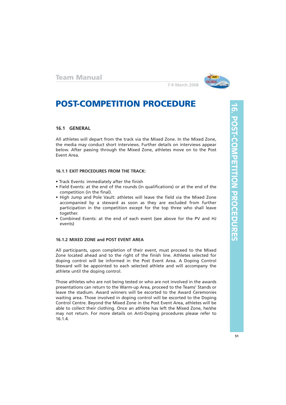

# **POST-COMPETITION PROCEDURE**

#### **16.1 GENERAL**

All athletes will depart from the track via the Mixed Zone. In the Mixed Zone, the media may conduct short interviews. Further details on interviews appear below. After passing through the Mixed Zone, athletes move on to the Post Event Area.

#### **16.1.1 EXIT PROCEDURES FROM THE TRACK:**

- Track Events: immediately after the finish
- Field Events: at the end of the rounds (in qualifications) or at the end of the competition (in the final).
- High Jump and Pole Vault: athletes will leave the field via the Mixed Zone accompanied by a steward as soon as they are excluded from further participation in the competition except for the top three who shall leave together.
- Combined Events: at the end of each event (see above for the PV and HJ events)

#### **16.1.2 MIXED ZONE and POST EVENT AREA**

All participants, upon completion of their event, must proceed to the Mixed Zone located ahead and to the right of the finish line. Athletes selected for doping control will be informed in the Post Event Area. A Doping Control Steward will be appointed to each selected athlete and will accompany the athlete until the doping control.

Those athletes who are not being tested or who are not involved in the awards presentations can return to the Warm-up Area, proceed to the Teams' Stands or leave the stadium. Award winners will be escorted to the Award Ceremonies waiting area. Those involved in doping control will be escorted to the Doping Control Centre. Beyond the Mixed Zone in the Post Event Area, athletes will be able to collect their clothing. Once an athlete has left the Mixed Zone, he/she may not return. For more details on Anti-Doping procedures please refer to 16.1.4.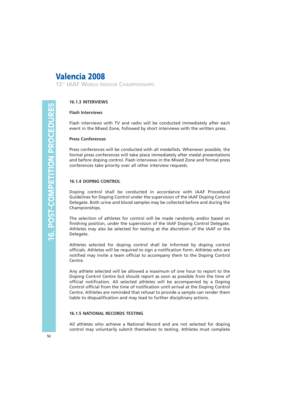**12TH IAAF WORLD INDOOR CHAMPIONSHIPS**

#### **16.1.3 INTERVIEWS**

#### **Flash Interviews**

Flash interviews with TV and radio will be conducted immediately after each event in the Mixed Zone, followed by short interviews with the written press.

#### **Press Conferences**

Press conferences will be conducted with all medallists. Whenever possible, the formal press conferences will take place immediately after medal presentations and before doping control. Flash interviews in the Mixed Zone and formal press conferences take priority over all other interview requests.

#### **16.1.4 DOPING CONTROL**

Doping control shall be conducted in accordance with IAAF Procedural Guidelines for Doping Control under the supervision of the IAAF Doping Control Delegate. Both urine and blood samples may be collected before and during the Championships.

The selection of athletes for control will be made randomly and/or based on finishing position, under the supervision of the IAAF Doping Control Delegate. Athletes may also be selected for testing at the discretion of the IAAF or the Delegate.

Athletes selected for doping control shall be informed by doping control officials. Athletes will be required to sign a notification form. Athletes who are notified may invite a team official to accompany them to the Doping Control Centre.

Any athlete selected will be allowed a maximum of one hour to report to the Doping Control Centre but should report as soon as possible from the time of official notification. All selected athletes will be accompanied by a Doping Control official from the time of notification until arrival at the Doping Control Centre. Athletes are reminded that refusal to provide a sample can render them liable to disqualification and may lead to further disciplinary actions.

#### **16.1.5 NATIONAL RECORDS TESTING**

All athletes who achieve a National Record and are not selected for doping control may voluntarily submit themselves to testing. Athletes must complete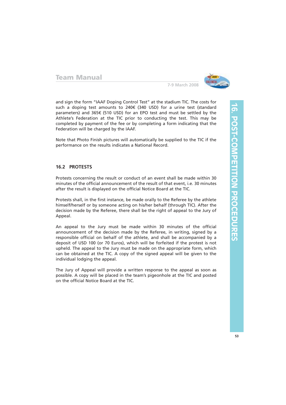

and sign the form "IAAF Doping Control Test" at the stadium TIC. The costs for such a doping test amounts to 240€ (340 USD) for a urine test (standard parameters) and 365€ (510 USD) for an EPO test and must be settled by the Athlete's Federation at the TIC prior to conducting the test. This may be completed by payment of the fee or by completing a form indicating that the Federation will be charged by the IAAF.

Note that Photo Finish pictures will automatically be supplied to the TIC if the performance on the results indicates a National Record.

#### **16.2 PROTESTS**

Protests concerning the result or conduct of an event shall be made within 30 minutes of the official announcement of the result of that event, i.e. 30 minutes after the result is displayed on the official Notice Board at the TIC.

Protests shall, in the first instance, be made orally to the Referee by the athlete himself/herself or by someone acting on his/her behalf (through TIC). After the decision made by the Referee, there shall be the right of appeal to the Jury of Appeal.

An appeal to the Jury must be made within 30 minutes of the official announcement of the decision made by the Referee, in writing, signed by a responsible official on behalf of the athlete, and shall be accompanied by a deposit of USD 100 (or 70 Euros), which will be forfeited if the protest is not upheld. The appeal to the Jury must be made on the appropriate form, which can be obtained at the TIC. A copy of the signed appeal will be given to the individual lodging the appeal.

The Jury of Appeal will provide a written response to the appeal as soon as possible. A copy will be placed in the team's pigeonhole at the TIC and posted on the official Notice Board at the TIC.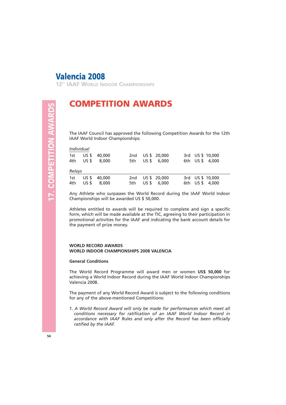**12TH IAAF WORLD INDOOR CHAMPIONSHIPS**

# 17. COMPETITION AWARDS **17. COMPETITION AWARDS**

# **COMPETITION AWARDS**

The IAAF Council has approved the following Competition Awards for the 12th IAAF World Indoor Championships:

#### *Individual*

| 1st    |           | US \$ 40,000<br>4th US \$ 8,000 |  | 2nd US \$ 20,000<br>5th US \$ 6,000 | 3rd US \$ 10,000<br>6th US \$ 4,000 |  |
|--------|-----------|---------------------------------|--|-------------------------------------|-------------------------------------|--|
| Relays |           |                                 |  |                                     |                                     |  |
|        | 4th US \$ | 1st US \$ 40,000<br>8.000       |  | 2nd US \$ 20,000<br>5th US \$ 6,000 | 3rd US \$ 10,000<br>6th US \$ 4,000 |  |

Any Athlete who surpasses the World Record during the IAAF World Indoor Championships will be awarded US \$ 50,000.

Athletes entitled to awards will be required to complete and sign a specific form, which will be made available at the TIC, agreeing to their participation in promotional activities for the IAAF and indicating the bank account details for the payment of prize money.

#### **WORLD RECORD AWARDS WORLD INDOOR CHAMPIONSHIPS 2008 VALENCIA**

#### **General Conditions**

The World Record Programme will award men or women **US\$ 50,000** for achieving a World Indoor Record during the IAAF World Indoor Championships Valencia 2008.

The payment of any World Record Award is subject to the following conditions for any of the above-mentioned Competitions:

*1. A World Record Award will only be made for performances which meet all conditions necessary for ratification of an IAAF World Indoor Record in accordance with IAAF Rules and only after the Record has been officially ratified by the IAAF.*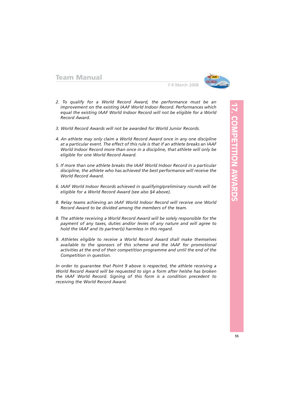

- *2. To qualify for a World Record Award, the performance must be an improvement on the existing IAAF World Indoor Record. Performances which equal the existing IAAF World Indoor Record will not be eligible for a World Record Award.*
- *3. World Record Awards will not be awarded for World Junior Records.*
- *4. An athlete may only claim a World Record Award once in any one discipline at a particular event. The effect of this rule is that if an athlete breaks an IAAF World Indoor Record more than once in a discipline, that athlete will only be eligible for one World Record Award.*
- *5. If more than one athlete breaks the IAAF World Indoor Record in a particular discipline, the athlete who has achieved the best performance will receive the World Record Award.*
- *6. IAAF World Indoor Records achieved in qualifying/preliminary rounds will be eligible for a World Record Award (see also §4 above).*
- *8. Relay teams achieving an IAAF World Indoor Record will receive one World Record Award to be divided among the members of the team.*
- *8. The athlete receiving a World Record Award will be solely responsible for the payment of any taxes, duties and/or levies of any nature and will agree to hold the IAAF and its partner(s) harmless in this regard.*
- *9. Athletes eligible to receive a World Record Award shall make themselves available to the sponsors of this scheme and the IAAF for promotional activities at the end of their competition programme and until the end of the Competition in question.*

*In order to guarantee that Point 9 above is respected, the athlete receiving a World Record Award will be requested to sign a form after he/she has broken the IAAF World Record. Signing of this form is a condition precedent to receiving the World Record Award.*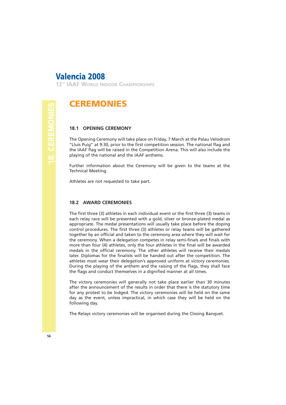**12TH IAAF WORLD INDOOR CHAMPIONSHIPS**

## **CEREMONIES**

#### **18.1 OPENING CEREMONY**

The Opening Ceremony will take place on Friday, 7 March at the Palau Velodrom "Lluis Puig" at 9:30, prior to the first competition session. The national flag and the IAAF flag will be raised in the Competition Arena. This will also include the playing of the national and the IAAF anthems.

Further information about the Ceremony will be given to the teams at the Technical Meeting.

Athletes are not requested to take part.

#### **18.2 AWARD CEREMONIES**

The first three (3) athletes in each individual event or the first three (3) teams in each relay race will be presented with a gold, silver or bronze-plated medal as appropriate. The medal presentations will usually take place before the doping control procedures. The first three (3) athletes or relay teams will be gathered together by an official and taken to the ceremony area where they will wait for the ceremony. When a delegation competes in relay semi-finals and finals with more than four (4) athletes, only the four athletes in the final will be awarded medals in the official ceremony. The other athletes will receive their medals later. Diplomas for the finalists will be handed out after the competition. The athletes must wear their delegation's approved uniform at victory ceremonies. During the playing of the anthem and the raising of the flags, they shall face the flags and conduct themselves in a dignified manner at all times.

The victory ceremonies will generally not take place earlier than 30 minutes after the announcement of the results in order that there is the statutory time for any protest to be lodged. The victory ceremonies will be held on the same day as the event, unless impractical, in which case they will be held on the following day.

The Relays victory ceremonies will be organised during the Closing Banquet.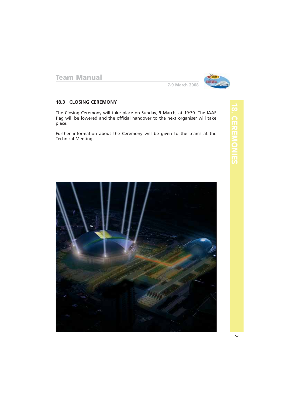

**7-9 March 2008**

#### **18.3 CLOSING CEREMONY**

The Closing Ceremony will take place on Sunday, 9 March, at 19:30. The IAAF flag will be lowered and the official handover to the next organiser will take place.

Further information about the Ceremony will be given to the teams at the Technical Meeting.



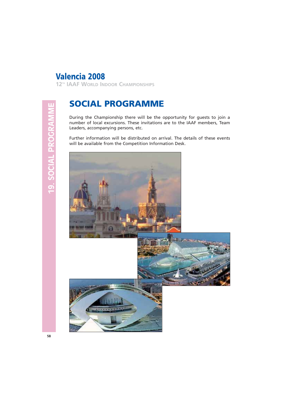**12TH IAAF WORLD INDOOR CHAMPIONSHIPS**

# **SOCIAL PROGRAMME**

During the Championship there will be the opportunity for guests to join a number of local excursions. These invitations are to the IAAF members, Team Leaders, accompanying persons, etc.

Further information will be distributed on arrival. The details of these events will be available from the Competition Information Desk.

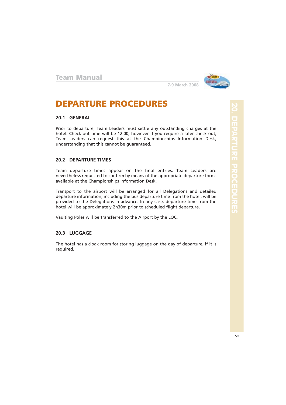

# **DEPARTURE PROCEDURES**

#### **20.1 GENERAL**

Prior to departure, Team Leaders must settle any outstanding charges at the hotel. Check-out time will be 12:00, however if you require a later check-out, Team Leaders can request this at the Championships Information Desk, understanding that this cannot be guaranteed.

#### **20.2 DEPARTURE TIMES**

Team departure times appear on the final entries. Team Leaders are nevertheless requested to confirm by means of the appropriate departure forms available at the Championships Information Desk.

Transport to the airport will be arranged for all Delegations and detailed departure information, including the bus departure time from the hotel, will be provided to the Delegations in advance. In any case, departure time from the hotel will be approximately 2h30m prior to scheduled flight departure.

Vaulting Poles will be transferred to the Airport by the LOC.

#### **20.3 LUGGAGE**

The hotel has a cloak room for storing luggage on the day of departure, if it is required.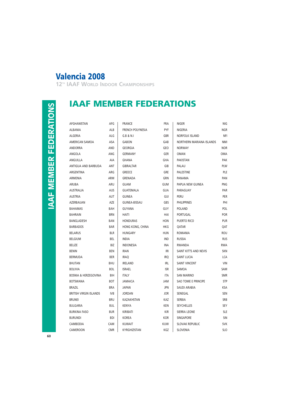**12TH IAAF WORLD INDOOR CHAMPIONSHIPS**

**IAAF MEMBER FEDERATIONS**

# **IAAF MEMBER FEDERATIONS IAAF MEMBER FEDERATIONS**

| AFGHANISTAN                     | AFG        | <b>FRANCE</b>           | <b>FRA</b> | <b>NIGER</b>                    | NIG        |
|---------------------------------|------------|-------------------------|------------|---------------------------------|------------|
| <b>ALBANIA</b>                  | ALB        | <b>FRENCH POLYNESIA</b> | <b>PYF</b> | <b>NIGERIA</b>                  | <b>NGR</b> |
| <b>ALGERIA</b>                  | ALG        | G.B. 8 N.I              | <b>GBR</b> | <b>NORFOLK ISLAND</b>           | NFI        |
| AMERICAN SAMOA                  | ASA        | <b>GABON</b>            | GAB        | <b>NORTHERN MARIANA ISLANDS</b> | <b>NMI</b> |
| ANDORRA                         | AND        | <b>GEORGIA</b>          | GEO        | <b>NORWAY</b>                   | <b>NOR</b> |
| ANGOLA                          | ANG        | <b>GERMANY</b>          | <b>GER</b> | <b>OMAN</b>                     | OMA        |
| ANGUILLA                        | AIA        | <b>GHANA</b>            | GHA        | <b>PAKISTAN</b>                 | PAK        |
| ANTIGUA AND BARBUDA             | ANT        | <b>GIBRALTAR</b>        | GIB        | PALAU                           | PLW        |
| ARGENTINA                       | ARG        | <b>GREECE</b>           | GRE        | PALESTINE                       | PLE        |
| ARMENIA                         | ARM        | <b>GRENADA</b>          | <b>GRN</b> | PANAMA                          | PAN        |
| <b>ARUBA</b>                    | ARU        | <b>GUAM</b>             | <b>GUM</b> | PAPUA NEW GUINEA                | <b>PNG</b> |
| <b>AUSTRALIA</b>                | AUS        | GUATEMALA               | <b>GUA</b> | PARAGUAY                        | PAR        |
| <b>AUSTRIA</b>                  | <b>AUT</b> | <b>GUINEA</b>           | GUI        | PERU                            | PER        |
| AZERBAIJAN                      | AZE        | <b>GUINEA-BISSAU</b>    | GBS        | <b>PHILIPPINES</b>              | PHI        |
| <b>BAHAMAS</b>                  | BAH        | <b>GUYANA</b>           | GUY        | <b>POLAND</b>                   | POL        |
| <b>BAHRAIN</b>                  | <b>BRN</b> | HAITI                   | HAI        | <b>PORTUGAL</b>                 | POR        |
| BANGLADESH                      | BAN        | <b>HONDURAS</b>         | <b>HON</b> | PUERTO RICO                     | <b>PUR</b> |
| <b>BARBADOS</b>                 | <b>BAR</b> | HONG KONG, CHINA        | HKG        | QATAR                           | QAT        |
| <b>BELARUS</b>                  | <b>BLR</b> | <b>HUNGARY</b>          | HUN        | <b>ROMANIA</b>                  | <b>ROU</b> |
| <b>BELGIUM</b>                  | BEL        | <b>INDIA</b>            | <b>IND</b> | <b>RUSSIA</b>                   | <b>RUS</b> |
| <b>BELIZE</b>                   | <b>BIZ</b> | <b>INDONESIA</b>        | INA        | RWANDA                          | <b>RWA</b> |
| <b>BENIN</b>                    | BEN        | <b>IRAN</b>             | IRI        | SAINT KITTS AND NEVIS           | <b>SKN</b> |
| <b>BERMUDA</b>                  | <b>BER</b> | <b>IRAO</b>             | <b>IRO</b> | SAINT LUCIA                     | LCA        |
| <b>BHUTAN</b>                   | <b>BHU</b> | <b>IRELAND</b>          | <b>IRL</b> | <b>SAINT VINCENT</b>            | <b>VIN</b> |
| <b>BOLIVIA</b>                  | <b>BOL</b> | <b>ISRAEL</b>           | <b>ISR</b> | SAMOA                           | SAM        |
| <b>BOSNIA &amp; HERZEGOVINA</b> | BIH        | <b>ITALY</b>            | <b>ITA</b> | <b>SAN MARINO</b>               | <b>SMR</b> |
| <b>BOTSWANA</b>                 | BOT        | JAMAICA                 | JAM        | SAO TOME E PRINCIPE             | <b>STP</b> |
| <b>BRAZIL</b>                   | <b>BRA</b> | <b>JAPAN</b>            | <b>JPN</b> | SAUDI ARABIA                    | <b>KSA</b> |
| <b>BRITISH VIRGIN ISLANDS</b>   | <b>IVB</b> | <b>JORDAN</b>           | <b>JOR</b> | SENEGAL                         | SEN        |
| <b>BRUNEI</b>                   | BRU        | <b>KAZAKHSTAN</b>       | KAZ        | <b>SERBIA</b>                   | <b>SRB</b> |
| <b>BULGARIA</b>                 | <b>BUL</b> | <b>KENYA</b>            | <b>KEN</b> | <b>SEYCHELLES</b>               | SEY        |
| <b>BURKINA FASO</b>             | <b>BUR</b> | KIRIBATI                | <b>KIR</b> | SIERRA LEONE                    | <b>SLE</b> |
| <b>BURUNDI</b>                  | <b>BDI</b> | KOREA                   | <b>KOR</b> | <b>SINGAPORE</b>                | <b>SIN</b> |
| CAMBODIA                        | CAM        | <b>KUWAIT</b>           | <b>KUW</b> | <b>SLOVAK REPUBLIC</b>          | <b>SVK</b> |
| CAMEROON                        | <b>CMR</b> | KYRGHIZISTAN            | KGZ        | <b>SLOVENIA</b>                 | <b>SLO</b> |

| RA  | <b>NIGER</b>                    | NIG        |
|-----|---------------------------------|------------|
| ١YF | <b>NIGERIA</b>                  | <b>NGR</b> |
| ΒR  | <b>NORFOLK ISLAND</b>           | <b>NF</b>  |
| AB  | <b>NORTHERN MARIANA ISLANDS</b> | <b>NM</b>  |
| EO  | <b>NORWAY</b>                   | <b>NOR</b> |
| ίER | OMAN                            | OMA        |
| ΗA  | <b>PAKISTAN</b>                 | PAK        |
| ЭIВ | PALAU                           | PLW        |
| RE  | PALESTINE                       | PLE        |
| RN  | PANAMA                          | PAN        |
| JM  | PAPUA NEW GUINEA                | PNG        |
| UΑ  | PARAGUAY                        | PAR        |
| iUl | PERU                            | PER        |
| iBS | PHILIPPINES                     | PH         |
| UY  | <b>POLAND</b>                   | POL        |
| IAI | PORTUGAL                        | POR        |
| ЮC  | <b>PUERTO RICO</b>              | PUR        |
| КG  | QATAR                           | QAT        |
| UN  | <b>ROMANIA</b>                  | ROU        |
| ND  | <b>RUSSIA</b>                   | <b>RUS</b> |
| NА  | <b>RWANDA</b>                   | <b>RWA</b> |
| IRI | SAINT KITTS AND NEVIS           | <b>SKN</b> |
| RO  | <b>SAINT LUCIA</b>              | LCA        |
| irl | <b>SAINT VINCENT</b>            | VIN        |
| ISR | SAMOA                           | SAM        |
| TA  | <b>SAN MARINO</b>               | <b>SMR</b> |
| ١M  | <b>SAO TOME E PRINCIPE</b>      | <b>STF</b> |
| PN  | SAUDI ARABIA                    | KSA        |
| OR  | SENEGAL                         | SEN        |
| AZ  | SERBIA                          | SRB        |
| ΕN  | <b>SEYCHELLES</b>               | <b>SEY</b> |
| (IR | <b>SIERRA LEONE</b>             | SLE        |
| ΟR  | <b>SINGAPORE</b>                | <b>SIN</b> |
| JW  | <b>SLOVAK REPUBLIC</b>          | <b>SVK</b> |
| G7  | <b>SI OVENIA</b>                | $\Omega$   |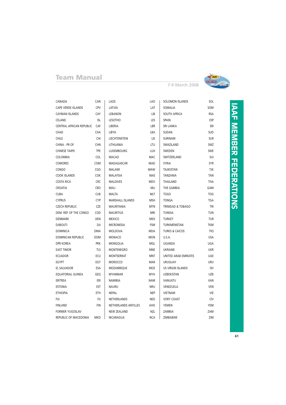

**7-9 March 2008**

| CANADA                       | CAN        | LAOS                    | LAO        | <b>SOLOMON ISLANDS</b>       | SOL        |                 |
|------------------------------|------------|-------------------------|------------|------------------------------|------------|-----------------|
| <b>CAPE VERDE ISLANDS</b>    | CPV        | LATVIA                  | LAT        | SOMALIA                      | SOM        |                 |
| <b>CAYMAN ISLANDS</b>        | CAY        | LEBANON                 | LIB        | SOUTH AFRICA                 | <b>RSA</b> | <b>DAAL</b>     |
| CELAND                       | <b>ISL</b> | <b>LESOTHO</b>          | LES        | SPAIN                        | ESP        |                 |
| CENTRAL AFRICAN REPUBLIC CAF |            | LIBERIA                 | LBR        | <b>SRI LANKA</b>             | SRI        |                 |
| CHAD                         | CHA        | <b>LIBYA</b>            | LBA        | SUDAN                        | SUD        |                 |
| CHILE                        | CHI        | LIECHTENSTEIN           | LIE        | SURINAM                      | <b>SUR</b> | MENENの          |
| CHINA - PR OF                | CHN        | LITHUANIA               | LTU        | SWAZILAND                    | SWZ        |                 |
| <b>CHINESE TAIPEI</b>        | <b>TPE</b> | LUXEMBOURG              | <b>LUX</b> | SWEDEN                       | SWE        |                 |
| COLOMBIA                     | <b>COL</b> | <b>MACAO</b>            | <b>MAC</b> | SWITZERLAND                  | SUI        |                 |
| <b>COMORES</b>               | COM        | MADAGASCAR              | MAD        | <b>SYRIA</b>                 | <b>SYR</b> |                 |
| <b>CONGO</b>                 | <b>CGO</b> | MALAWI                  | MAW        | <b>TAJIKISTAN</b>            | TJK        | 品巴              |
| <b>COOK ISLANDS</b>          | <b>COK</b> | MALAYSIA                | MAS        | TANZANIA                     | TAN        |                 |
| COSTA RICA                   | <b>CRC</b> | <b>MALDIVES</b>         | <b>MDV</b> | THAILAND                     | THA        |                 |
| CROATIA                      | <b>CRO</b> | MALI                    | MLI        | THE GAMBIA                   | GAM        |                 |
| <b>CUBA</b>                  | <b>CUB</b> | MALTA                   | MLT        | <b>TOGO</b>                  | <b>TOG</b> | <b>ERATIONS</b> |
| <b>CYPRUS</b>                | <b>CYP</b> | <b>MARSHALL ISLANDS</b> | <b>MSH</b> | <b>TONGA</b>                 | TGA        |                 |
| <b>CZECH REPUBLIC</b>        | CZE        | MAURITANIA              | <b>MTN</b> | <b>TRINIDAD &amp; TOBAGO</b> | <b>TRI</b> |                 |
| DEM. REP. OF THE CONGO       | COD        | <b>MAURITIUS</b>        | <b>MRI</b> | TUNISIA                      | TUN        |                 |
| DENMARK                      | DEN        | <b>MEXICO</b>           | MEX        | <b>TURKEY</b>                | <b>TUR</b> |                 |
| <b>DJIBOUTI</b>              | DJI        | <b>MICRONESIA</b>       | FSM        | TURKMENISTAN                 | TKM        |                 |
| <b>DOMINICA</b>              | <b>DMA</b> | <b>MOLDOVA</b>          | <b>MDA</b> | <b>TURKS &amp; CAICOS</b>    | <b>TKS</b> |                 |
| <b>DOMINICAN REPUBLIC</b>    | <b>DOM</b> | <b>MONACO</b>           | <b>MON</b> | <b>U.S.A.</b>                | <b>USA</b> |                 |
| <b>DPR KOREA</b>             | <b>PRK</b> | <b>MONGOLIA</b>         | MGL        | UGANDA                       | UGA        |                 |
| <b>EAST TIMOR</b>            | TLS        | MONTENEGRO              | MNE        | <b>UKRAINE</b>               | <b>UKR</b> |                 |
| <b>ECUADOR</b>               | ECU        | MONTSERRAT              | <b>MNT</b> | UNITED ARAB EMIRATES         | <b>UAE</b> |                 |
| EGYPT                        | EGY        | <b>MOROCCO</b>          | <b>MAR</b> | <b>URUGUAY</b>               | URU        |                 |
| EL SALVADOR                  | ESA        | MOZAMBIQUE              | MOZ        | US VIRGIN ISLANDS            | ISV        |                 |
| EQUATORIAL GUINEA            | GEQ        | <b>MYANMAR</b>          | <b>MYA</b> | <b>UZBEKISTAN</b>            | <b>UZB</b> |                 |
| ERITREA                      | ERI        | NAMIBIA                 | NAM        | VANUATU                      | VAN        |                 |
| <b>ESTONIA</b>               | EST        | <b>NAURU</b>            | <b>NRU</b> | VENEZUELA                    | VEN        |                 |
| <b>ETHIOPIA</b>              | ETH        | NEPAL                   | NEP        | VIETNAM                      | VIE        |                 |
| FIJI                         | FIJ        | NETHERLANDS             | NED        | <b>VORY COAST</b>            | <b>CIV</b> |                 |
| <b>FINLAND</b>               | <b>FIN</b> | NETHERLANDS ANTILLES    | AHO        | YEMEN                        | YEM        |                 |
| <b>FORMER YUGOSLAV</b>       |            | <b>NEW ZEALAND</b>      | NZL        | ZAMBIA                       | ZAM        |                 |
| REPUBLIC OF MACEDONIA        | <b>MKD</b> | NICARAGUA               | <b>NCA</b> | ZIMBABWE                     | ZIM        |                 |

# **MEMBER**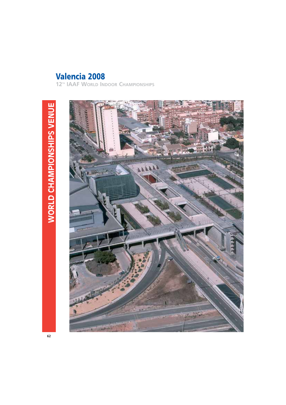**12TH IAAF WORLD INDOOR CHAMPIONSHIPS**

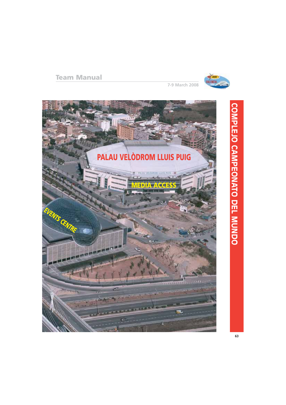

**7-9 March 2008**



# **COMPLEJOCAMPEONATO DEL MUNDO**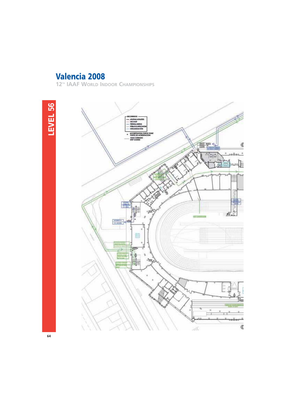**12TH IAAF WORLD INDOOR CHAMPIONSHIPS**

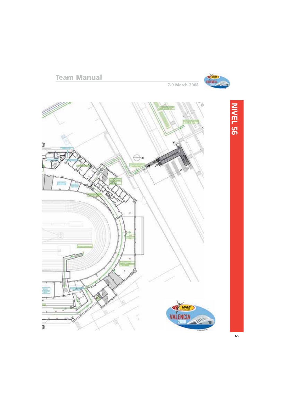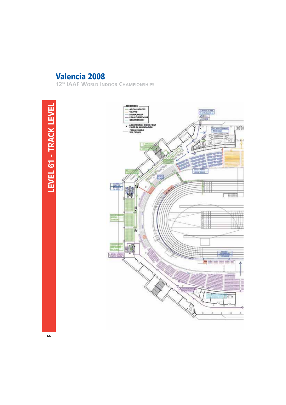**12TH IAAF WORLD INDOOR CHAMPIONSHIPS**

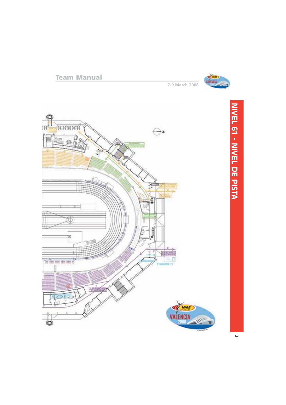

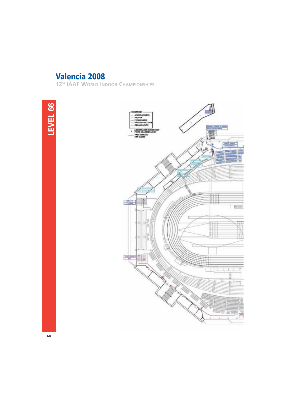**12TH IAAF WORLD INDOOR CHAMPIONSHIPS**



**BARSA FA** 

т 田田

J.,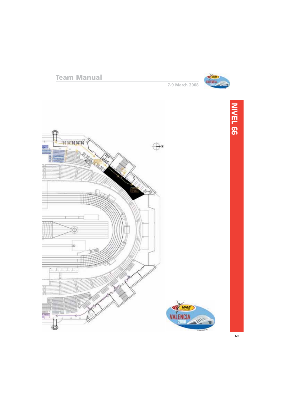

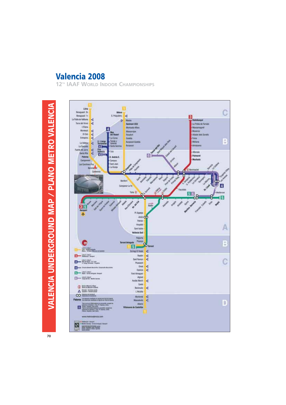**12TH IAAF WORLD INDOOR CHAMPIONSHIPS**